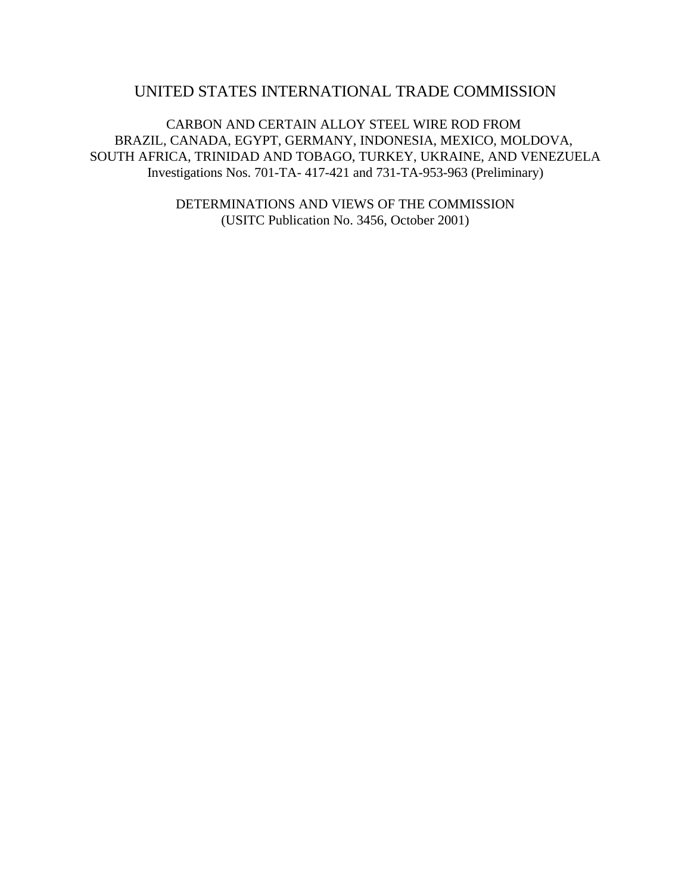# UNITED STATES INTERNATIONAL TRADE COMMISSION

CARBON AND CERTAIN ALLOY STEEL WIRE ROD FROM BRAZIL, CANADA, EGYPT, GERMANY, INDONESIA, MEXICO, MOLDOVA, SOUTH AFRICA, TRINIDAD AND TOBAGO, TURKEY, UKRAINE, AND VENEZUELA Investigations Nos. 701-TA- 417-421 and 731-TA-953-963 (Preliminary)

> DETERMINATIONS AND VIEWS OF THE COMMISSION (USITC Publication No. 3456, October 2001)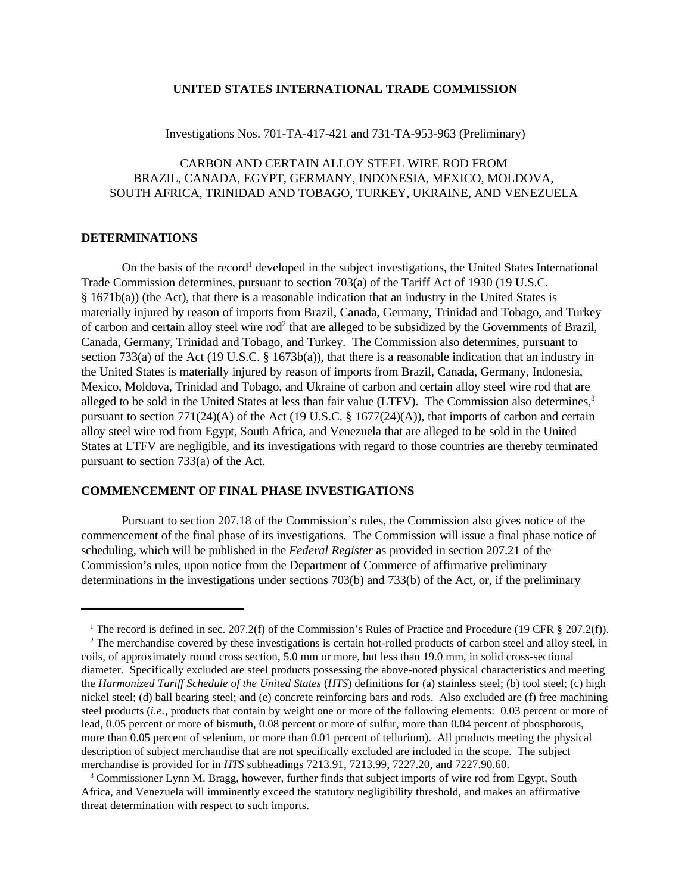#### **UNITED STATES INTERNATIONAL TRADE COMMISSION**

### Investigations Nos. 701-TA-417-421 and 731-TA-953-963 (Preliminary)

## CARBON AND CERTAIN ALLOY STEEL WIRE ROD FROM BRAZIL, CANADA, EGYPT, GERMANY, INDONESIA, MEXICO, MOLDOVA, SOUTH AFRICA, TRINIDAD AND TOBAGO, TURKEY, UKRAINE, AND VENEZUELA

#### **DETERMINATIONS**

On the basis of the record<sup>1</sup> developed in the subject investigations, the United States International Trade Commission determines, pursuant to section 703(a) of the Tariff Act of 1930 (19 U.S.C. § 1671b(a)) (the Act), that there is a reasonable indication that an industry in the United States is materially injured by reason of imports from Brazil, Canada, Germany, Trinidad and Tobago, and Turkey of carbon and certain alloy steel wire rod<sup>2</sup> that are alleged to be subsidized by the Governments of Brazil, Canada, Germany, Trinidad and Tobago, and Turkey. The Commission also determines, pursuant to section 733(a) of the Act (19 U.S.C. § 1673b(a)), that there is a reasonable indication that an industry in the United States is materially injured by reason of imports from Brazil, Canada, Germany, Indonesia, Mexico, Moldova, Trinidad and Tobago, and Ukraine of carbon and certain alloy steel wire rod that are alleged to be sold in the United States at less than fair value (LTFV). The Commission also determines,<sup>3</sup> pursuant to section 771(24)(A) of the Act (19 U.S.C. § 1677(24)(A)), that imports of carbon and certain alloy steel wire rod from Egypt, South Africa, and Venezuela that are alleged to be sold in the United States at LTFV are negligible, and its investigations with regard to those countries are thereby terminated pursuant to section 733(a) of the Act.

## **COMMENCEMENT OF FINAL PHASE INVESTIGATIONS**

Pursuant to section 207.18 of the Commission's rules, the Commission also gives notice of the commencement of the final phase of its investigations. The Commission will issue a final phase notice of scheduling, which will be published in the *Federal Register* as provided in section 207.21 of the Commission's rules, upon notice from the Department of Commerce of affirmative preliminary determinations in the investigations under sections 703(b) and 733(b) of the Act, or, if the preliminary

<sup>&</sup>lt;sup>1</sup> The record is defined in sec. 207.2(f) of the Commission's Rules of Practice and Procedure (19 CFR  $\S 207.2(f)$ ).

 $2^2$  The merchandise covered by these investigations is certain hot-rolled products of carbon steel and alloy steel, in coils, of approximately round cross section, 5.0 mm or more, but less than 19.0 mm, in solid cross-sectional diameter. Specifically excluded are steel products possessing the above-noted physical characteristics and meeting the *Harmonized Tariff Schedule of the United States* (*HTS*) definitions for (a) stainless steel; (b) tool steel; (c) high nickel steel; (d) ball bearing steel; and (e) concrete reinforcing bars and rods. Also excluded are (f) free machining steel products (*i.e.*, products that contain by weight one or more of the following elements: 0.03 percent or more of lead, 0.05 percent or more of bismuth, 0.08 percent or more of sulfur, more than 0.04 percent of phosphorous, more than 0.05 percent of selenium, or more than 0.01 percent of tellurium). All products meeting the physical description of subject merchandise that are not specifically excluded are included in the scope. The subject merchandise is provided for in *HTS* subheadings 7213.91, 7213.99, 7227.20, and 7227.90.60.

<sup>&</sup>lt;sup>3</sup> Commissioner Lynn M. Bragg, however, further finds that subject imports of wire rod from Egypt, South Africa, and Venezuela will imminently exceed the statutory negligibility threshold, and makes an affirmative threat determination with respect to such imports.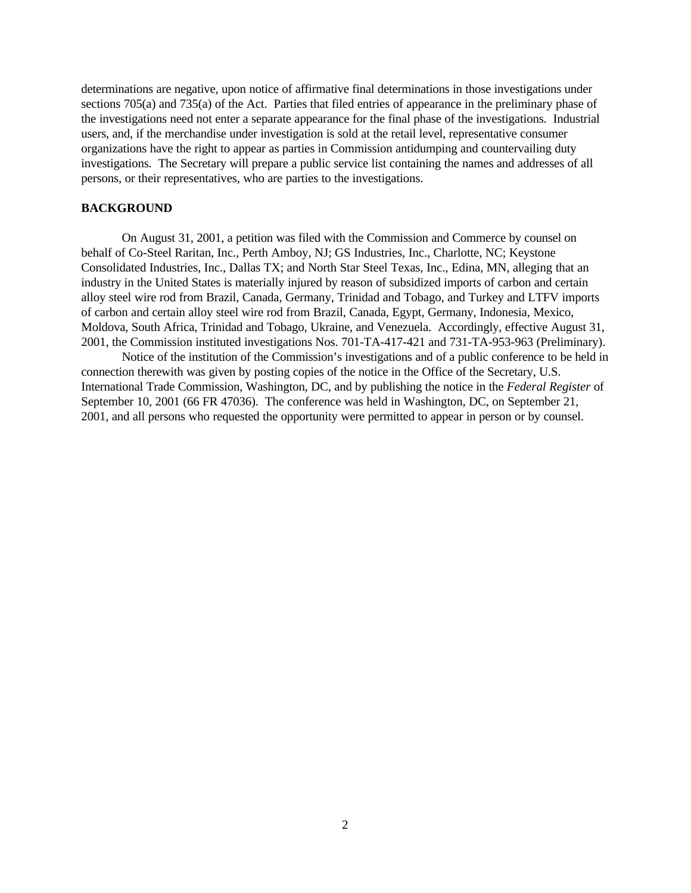determinations are negative, upon notice of affirmative final determinations in those investigations under sections 705(a) and 735(a) of the Act. Parties that filed entries of appearance in the preliminary phase of the investigations need not enter a separate appearance for the final phase of the investigations. Industrial users, and, if the merchandise under investigation is sold at the retail level, representative consumer organizations have the right to appear as parties in Commission antidumping and countervailing duty investigations. The Secretary will prepare a public service list containing the names and addresses of all persons, or their representatives, who are parties to the investigations.

### **BACKGROUND**

On August 31, 2001, a petition was filed with the Commission and Commerce by counsel on behalf of Co-Steel Raritan, Inc., Perth Amboy, NJ; GS Industries, Inc., Charlotte, NC; Keystone Consolidated Industries, Inc., Dallas TX; and North Star Steel Texas, Inc., Edina, MN, alleging that an industry in the United States is materially injured by reason of subsidized imports of carbon and certain alloy steel wire rod from Brazil, Canada, Germany, Trinidad and Tobago, and Turkey and LTFV imports of carbon and certain alloy steel wire rod from Brazil, Canada, Egypt, Germany, Indonesia, Mexico, Moldova, South Africa, Trinidad and Tobago, Ukraine, and Venezuela. Accordingly, effective August 31, 2001, the Commission instituted investigations Nos. 701-TA-417-421 and 731-TA-953-963 (Preliminary).

Notice of the institution of the Commission's investigations and of a public conference to be held in connection therewith was given by posting copies of the notice in the Office of the Secretary, U.S. International Trade Commission, Washington, DC, and by publishing the notice in the *Federal Register* of September 10, 2001 (66 FR 47036). The conference was held in Washington, DC, on September 21, 2001, and all persons who requested the opportunity were permitted to appear in person or by counsel.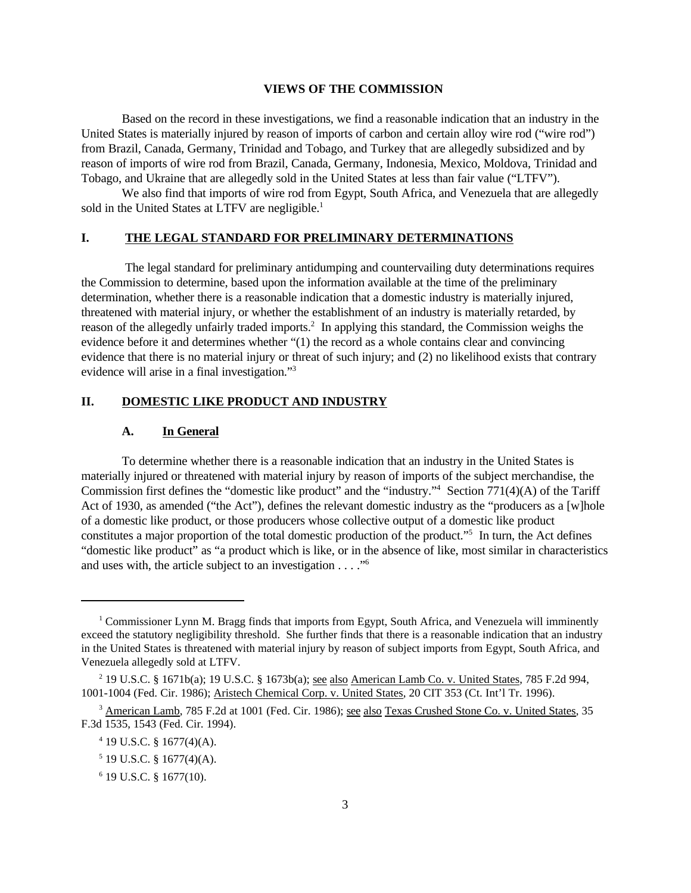#### **VIEWS OF THE COMMISSION**

Based on the record in these investigations, we find a reasonable indication that an industry in the United States is materially injured by reason of imports of carbon and certain alloy wire rod ("wire rod") from Brazil, Canada, Germany, Trinidad and Tobago, and Turkey that are allegedly subsidized and by reason of imports of wire rod from Brazil, Canada, Germany, Indonesia, Mexico, Moldova, Trinidad and Tobago, and Ukraine that are allegedly sold in the United States at less than fair value ("LTFV").

We also find that imports of wire rod from Egypt, South Africa, and Venezuela that are allegedly sold in the United States at LTFV are negligible.<sup>1</sup>

### **I. THE LEGAL STANDARD FOR PRELIMINARY DETERMINATIONS**

 The legal standard for preliminary antidumping and countervailing duty determinations requires the Commission to determine, based upon the information available at the time of the preliminary determination, whether there is a reasonable indication that a domestic industry is materially injured, threatened with material injury, or whether the establishment of an industry is materially retarded, by reason of the allegedly unfairly traded imports.<sup>2</sup> In applying this standard, the Commission weighs the evidence before it and determines whether "(1) the record as a whole contains clear and convincing evidence that there is no material injury or threat of such injury; and (2) no likelihood exists that contrary evidence will arise in a final investigation."<sup>3</sup>

### **II. DOMESTIC LIKE PRODUCT AND INDUSTRY**

#### **A. In General**

To determine whether there is a reasonable indication that an industry in the United States is materially injured or threatened with material injury by reason of imports of the subject merchandise, the Commission first defines the "domestic like product" and the "industry."<sup>4</sup> Section 771(4)(A) of the Tariff Act of 1930, as amended ("the Act"), defines the relevant domestic industry as the "producers as a [w]hole of a domestic like product, or those producers whose collective output of a domestic like product constitutes a major proportion of the total domestic production of the product."<sup>5</sup> In turn, the Act defines "domestic like product" as "a product which is like, or in the absence of like, most similar in characteristics and uses with, the article subject to an investigation  $\dots$ ."<sup>6</sup>

<sup>&</sup>lt;sup>1</sup> Commissioner Lynn M. Bragg finds that imports from Egypt, South Africa, and Venezuela will imminently exceed the statutory negligibility threshold. She further finds that there is a reasonable indication that an industry in the United States is threatened with material injury by reason of subject imports from Egypt, South Africa, and Venezuela allegedly sold at LTFV.

<sup>&</sup>lt;sup>2</sup> 19 U.S.C. § 1671b(a); 19 U.S.C. § 1673b(a); <u>see also American Lamb Co. v. United States</u>, 785 F.2d 994, 1001-1004 (Fed. Cir. 1986); Aristech Chemical Corp. v. United States, 20 CIT 353 (Ct. Int'l Tr. 1996).

<sup>&</sup>lt;sup>3</sup> American Lamb, 785 F.2d at 1001 (Fed. Cir. 1986); see also Texas Crushed Stone Co. v. United States, 35 F.3d 1535, 1543 (Fed. Cir. 1994).

<sup>4</sup> 19 U.S.C. § 1677(4)(A).

 $5$  19 U.S.C. § 1677(4)(A).

<sup>6</sup> 19 U.S.C. § 1677(10).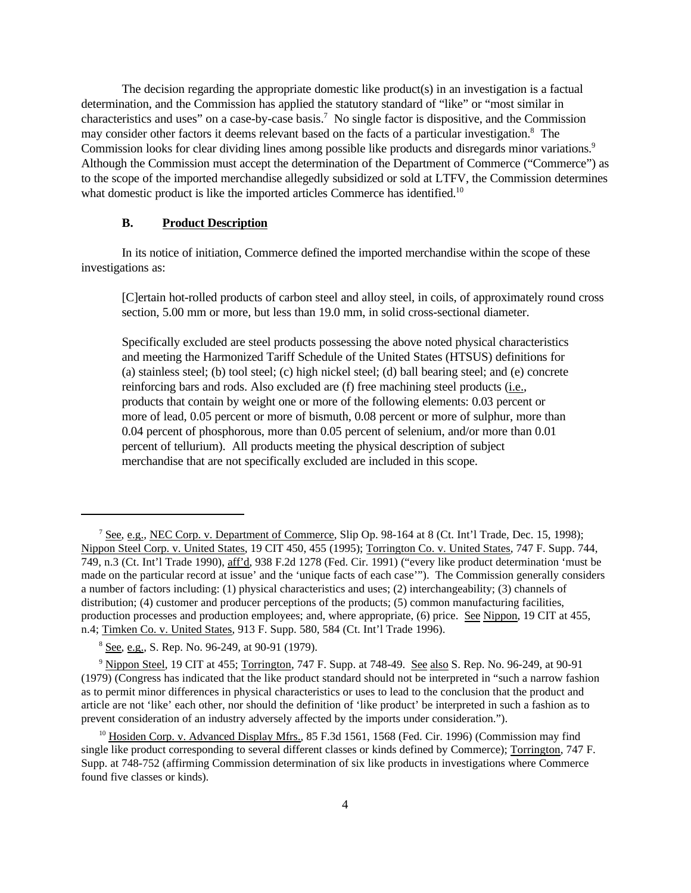The decision regarding the appropriate domestic like product(s) in an investigation is a factual determination, and the Commission has applied the statutory standard of "like" or "most similar in characteristics and uses" on a case-by-case basis.<sup>7</sup> No single factor is dispositive, and the Commission may consider other factors it deems relevant based on the facts of a particular investigation.<sup>8</sup> The Commission looks for clear dividing lines among possible like products and disregards minor variations.<sup>9</sup> Although the Commission must accept the determination of the Department of Commerce ("Commerce") as to the scope of the imported merchandise allegedly subsidized or sold at LTFV, the Commission determines what domestic product is like the imported articles Commerce has identified.<sup>10</sup>

### **B. Product Description**

In its notice of initiation, Commerce defined the imported merchandise within the scope of these investigations as:

[C]ertain hot-rolled products of carbon steel and alloy steel, in coils, of approximately round cross section, 5.00 mm or more, but less than 19.0 mm, in solid cross-sectional diameter.

Specifically excluded are steel products possessing the above noted physical characteristics and meeting the Harmonized Tariff Schedule of the United States (HTSUS) definitions for (a) stainless steel; (b) tool steel; (c) high nickel steel; (d) ball bearing steel; and (e) concrete reinforcing bars and rods. Also excluded are (f) free machining steel products (i.e., products that contain by weight one or more of the following elements: 0.03 percent or more of lead, 0.05 percent or more of bismuth, 0.08 percent or more of sulphur, more than 0.04 percent of phosphorous, more than 0.05 percent of selenium, and/or more than 0.01 percent of tellurium). All products meeting the physical description of subject merchandise that are not specifically excluded are included in this scope.

<sup>&</sup>lt;sup>7</sup> See, e.g., NEC Corp. v. Department of Commerce, Slip Op. 98-164 at 8 (Ct. Int'l Trade, Dec. 15, 1998); Nippon Steel Corp. v. United States, 19 CIT 450, 455 (1995); Torrington Co. v. United States, 747 F. Supp. 744, 749, n.3 (Ct. Int'l Trade 1990), aff'd, 938 F.2d 1278 (Fed. Cir. 1991) ("every like product determination 'must be made on the particular record at issue' and the 'unique facts of each case'"). The Commission generally considers a number of factors including: (1) physical characteristics and uses; (2) interchangeability; (3) channels of distribution; (4) customer and producer perceptions of the products; (5) common manufacturing facilities, production processes and production employees; and, where appropriate, (6) price. See Nippon, 19 CIT at 455, n.4; Timken Co. v. United States, 913 F. Supp. 580, 584 (Ct. Int'l Trade 1996).

<sup>8</sup> See, e.g., S. Rep. No. 96-249, at 90-91 (1979).

<sup>9</sup> Nippon Steel, 19 CIT at 455; Torrington, 747 F. Supp. at 748-49. See also S. Rep. No. 96-249, at 90-91 (1979) (Congress has indicated that the like product standard should not be interpreted in "such a narrow fashion as to permit minor differences in physical characteristics or uses to lead to the conclusion that the product and article are not 'like' each other, nor should the definition of 'like product' be interpreted in such a fashion as to prevent consideration of an industry adversely affected by the imports under consideration.").

<sup>&</sup>lt;sup>10</sup> Hosiden Corp. v. Advanced Display Mfrs., 85 F.3d 1561, 1568 (Fed. Cir. 1996) (Commission may find single like product corresponding to several different classes or kinds defined by Commerce); Torrington, 747 F. Supp. at 748-752 (affirming Commission determination of six like products in investigations where Commerce found five classes or kinds).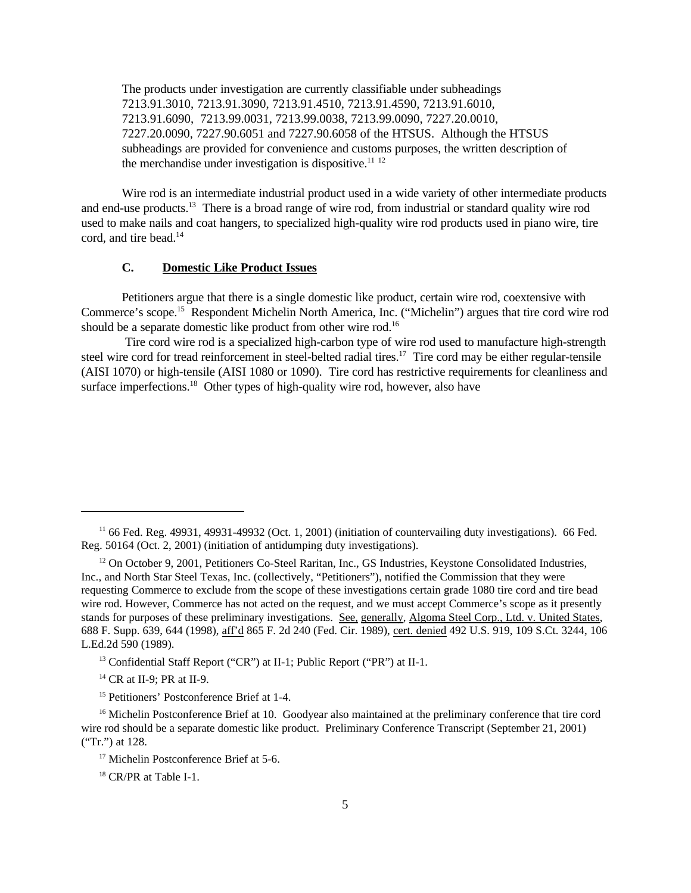The products under investigation are currently classifiable under subheadings 7213.91.3010, 7213.91.3090, 7213.91.4510, 7213.91.4590, 7213.91.6010, 7213.91.6090, 7213.99.0031, 7213.99.0038, 7213.99.0090, 7227.20.0010, 7227.20.0090, 7227.90.6051 and 7227.90.6058 of the HTSUS. Although the HTSUS subheadings are provided for convenience and customs purposes, the written description of the merchandise under investigation is dispositive.<sup>11 12</sup>

Wire rod is an intermediate industrial product used in a wide variety of other intermediate products and end-use products.<sup>13</sup> There is a broad range of wire rod, from industrial or standard quality wire rod used to make nails and coat hangers, to specialized high-quality wire rod products used in piano wire, tire cord, and tire bead.<sup>14</sup>

## **C. Domestic Like Product Issues**

Petitioners argue that there is a single domestic like product, certain wire rod, coextensive with Commerce's scope.<sup>15</sup> Respondent Michelin North America, Inc. ("Michelin") argues that tire cord wire rod should be a separate domestic like product from other wire rod.<sup>16</sup>

 Tire cord wire rod is a specialized high-carbon type of wire rod used to manufacture high-strength steel wire cord for tread reinforcement in steel-belted radial tires.<sup>17</sup> Tire cord may be either regular-tensile (AISI 1070) or high-tensile (AISI 1080 or 1090). Tire cord has restrictive requirements for cleanliness and surface imperfections.<sup>18</sup> Other types of high-quality wire rod, however, also have

<sup>&</sup>lt;sup>11</sup> 66 Fed. Reg. 49931, 49931-49932 (Oct. 1, 2001) (initiation of countervailing duty investigations). 66 Fed. Reg. 50164 (Oct. 2, 2001) (initiation of antidumping duty investigations).

 $12$  On October 9, 2001, Petitioners Co-Steel Raritan, Inc., GS Industries, Keystone Consolidated Industries, Inc., and North Star Steel Texas, Inc. (collectively, "Petitioners"), notified the Commission that they were requesting Commerce to exclude from the scope of these investigations certain grade 1080 tire cord and tire bead wire rod. However, Commerce has not acted on the request, and we must accept Commerce's scope as it presently stands for purposes of these preliminary investigations. See, generally, Algoma Steel Corp., Ltd. v. United States, 688 F. Supp. 639, 644 (1998), aff'd 865 F. 2d 240 (Fed. Cir. 1989), cert. denied 492 U.S. 919, 109 S.Ct. 3244, 106 L.Ed.2d 590 (1989).

<sup>&</sup>lt;sup>13</sup> Confidential Staff Report ("CR") at II-1; Public Report ("PR") at II-1.

<sup>14</sup> CR at II-9; PR at II-9.

<sup>&</sup>lt;sup>15</sup> Petitioners' Postconference Brief at 1-4.

<sup>&</sup>lt;sup>16</sup> Michelin Postconference Brief at 10. Goodyear also maintained at the preliminary conference that tire cord wire rod should be a separate domestic like product. Preliminary Conference Transcript (September 21, 2001) ("Tr.") at 128.

<sup>&</sup>lt;sup>17</sup> Michelin Postconference Brief at 5-6.

<sup>&</sup>lt;sup>18</sup> CR/PR at Table I-1.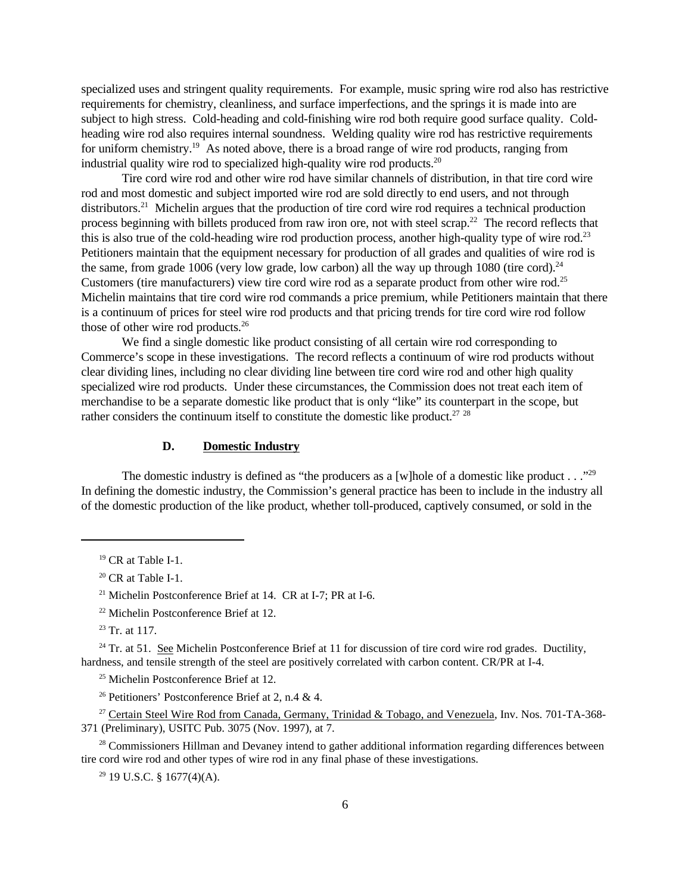specialized uses and stringent quality requirements. For example, music spring wire rod also has restrictive requirements for chemistry, cleanliness, and surface imperfections, and the springs it is made into are subject to high stress. Cold-heading and cold-finishing wire rod both require good surface quality. Coldheading wire rod also requires internal soundness. Welding quality wire rod has restrictive requirements for uniform chemistry.<sup>19</sup> As noted above, there is a broad range of wire rod products, ranging from industrial quality wire rod to specialized high-quality wire rod products.<sup>20</sup>

Tire cord wire rod and other wire rod have similar channels of distribution, in that tire cord wire rod and most domestic and subject imported wire rod are sold directly to end users, and not through distributors.<sup>21</sup> Michelin argues that the production of tire cord wire rod requires a technical production process beginning with billets produced from raw iron ore, not with steel scrap.<sup>22</sup> The record reflects that this is also true of the cold-heading wire rod production process, another high-quality type of wire rod.<sup>23</sup> Petitioners maintain that the equipment necessary for production of all grades and qualities of wire rod is the same, from grade 1006 (very low grade, low carbon) all the way up through 1080 (tire cord).<sup>24</sup> Customers (tire manufacturers) view tire cord wire rod as a separate product from other wire rod.<sup>25</sup> Michelin maintains that tire cord wire rod commands a price premium, while Petitioners maintain that there is a continuum of prices for steel wire rod products and that pricing trends for tire cord wire rod follow those of other wire rod products.<sup>26</sup>

We find a single domestic like product consisting of all certain wire rod corresponding to Commerce's scope in these investigations. The record reflects a continuum of wire rod products without clear dividing lines, including no clear dividing line between tire cord wire rod and other high quality specialized wire rod products. Under these circumstances, the Commission does not treat each item of merchandise to be a separate domestic like product that is only "like" its counterpart in the scope, but rather considers the continuum itself to constitute the domestic like product.<sup>27</sup>  $28$ 

## **D. Domestic Industry**

The domestic industry is defined as "the producers as a [w]hole of a domestic like product . . ."<sup>29</sup> In defining the domestic industry, the Commission's general practice has been to include in the industry all of the domestic production of the like product, whether toll-produced, captively consumed, or sold in the

<sup>25</sup> Michelin Postconference Brief at 12.

<sup>28</sup> Commissioners Hillman and Devaney intend to gather additional information regarding differences between tire cord wire rod and other types of wire rod in any final phase of these investigations.

 $29$  19 U.S.C. § 1677(4)(A).

<sup>19</sup> CR at Table I-1.

 $20$  CR at Table I-1.

<sup>&</sup>lt;sup>21</sup> Michelin Postconference Brief at 14. CR at I-7; PR at I-6.

<sup>22</sup> Michelin Postconference Brief at 12.

 $23$  Tr. at 117.

 $24$  Tr. at 51. See Michelin Postconference Brief at 11 for discussion of tire cord wire rod grades. Ductility, hardness, and tensile strength of the steel are positively correlated with carbon content. CR/PR at I-4.

<sup>&</sup>lt;sup>26</sup> Petitioners' Postconference Brief at 2, n.4 & 4.

<sup>&</sup>lt;sup>27</sup> Certain Steel Wire Rod from Canada, Germany, Trinidad & Tobago, and Venezuela, Inv. Nos. 701-TA-368-371 (Preliminary), USITC Pub. 3075 (Nov. 1997), at 7.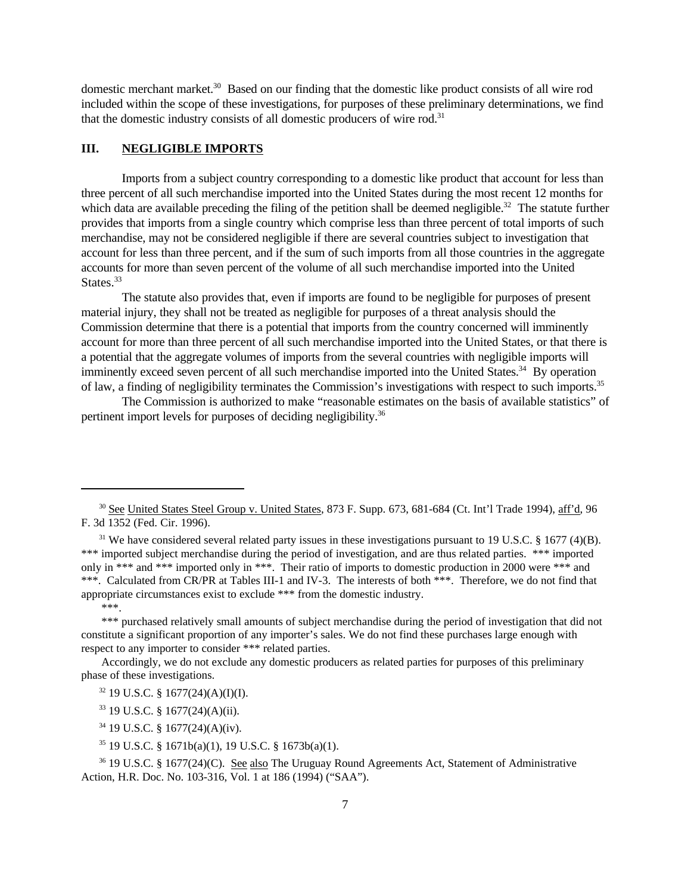domestic merchant market.<sup>30</sup> Based on our finding that the domestic like product consists of all wire rod included within the scope of these investigations, for purposes of these preliminary determinations, we find that the domestic industry consists of all domestic producers of wire rod.<sup>31</sup>

## **III. NEGLIGIBLE IMPORTS**

Imports from a subject country corresponding to a domestic like product that account for less than three percent of all such merchandise imported into the United States during the most recent 12 months for which data are available preceding the filing of the petition shall be deemed negligible.<sup>32</sup> The statute further provides that imports from a single country which comprise less than three percent of total imports of such merchandise, may not be considered negligible if there are several countries subject to investigation that account for less than three percent, and if the sum of such imports from all those countries in the aggregate accounts for more than seven percent of the volume of all such merchandise imported into the United States.<sup>33</sup>

The statute also provides that, even if imports are found to be negligible for purposes of present material injury, they shall not be treated as negligible for purposes of a threat analysis should the Commission determine that there is a potential that imports from the country concerned will imminently account for more than three percent of all such merchandise imported into the United States, or that there is a potential that the aggregate volumes of imports from the several countries with negligible imports will imminently exceed seven percent of all such merchandise imported into the United States.<sup>34</sup> By operation of law, a finding of negligibility terminates the Commission's investigations with respect to such imports.<sup>35</sup>

The Commission is authorized to make "reasonable estimates on the basis of available statistics" of pertinent import levels for purposes of deciding negligibility.36

\*\*\*.

Accordingly, we do not exclude any domestic producers as related parties for purposes of this preliminary phase of these investigations.

<sup>35</sup> 19 U.S.C. § 1671b(a)(1), 19 U.S.C. § 1673b(a)(1).

<sup>36</sup> 19 U.S.C. § 1677(24)(C). See also The Uruguay Round Agreements Act, Statement of Administrative Action, H.R. Doc. No. 103-316, Vol. 1 at 186 (1994) ("SAA").

<sup>&</sup>lt;sup>30</sup> See United States Steel Group v. United States, 873 F. Supp. 673, 681-684 (Ct. Int'l Trade 1994), aff'd, 96 F. 3d 1352 (Fed. Cir. 1996).

 $31$  We have considered several related party issues in these investigations pursuant to 19 U.S.C. § 1677 (4)(B). \*\*\* imported subject merchandise during the period of investigation, and are thus related parties. \*\*\* imported only in \*\*\* and \*\*\* imported only in \*\*\*. Their ratio of imports to domestic production in 2000 were \*\*\* and \*\*\*. Calculated from CR/PR at Tables III-1 and IV-3. The interests of both \*\*\*. Therefore, we do not find that appropriate circumstances exist to exclude \*\*\* from the domestic industry.

<sup>\*\*\*</sup> purchased relatively small amounts of subject merchandise during the period of investigation that did not constitute a significant proportion of any importer's sales. We do not find these purchases large enough with respect to any importer to consider \*\*\* related parties.

 $32$  19 U.S.C. § 1677(24)(A)(I)(I).

<sup>33</sup> 19 U.S.C. § 1677(24)(A)(ii).

<sup>34</sup> 19 U.S.C. § 1677(24)(A)(iv).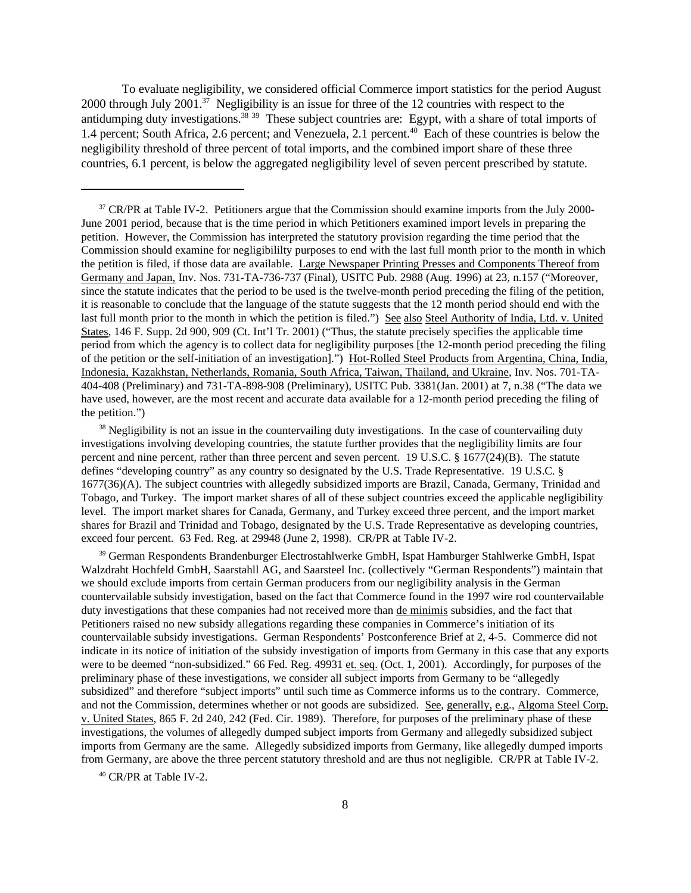To evaluate negligibility, we considered official Commerce import statistics for the period August 2000 through July 2001.<sup>37</sup> Negligibility is an issue for three of the 12 countries with respect to the antidumping duty investigations.<sup>38</sup> <sup>39</sup> These subject countries are: Egypt, with a share of total imports of 1.4 percent; South Africa, 2.6 percent; and Venezuela, 2.1 percent.<sup>40</sup> Each of these countries is below the negligibility threshold of three percent of total imports, and the combined import share of these three countries, 6.1 percent, is below the aggregated negligibility level of seven percent prescribed by statute.

 $38$  Negligibility is not an issue in the countervailing duty investigations. In the case of countervailing duty investigations involving developing countries, the statute further provides that the negligibility limits are four percent and nine percent, rather than three percent and seven percent. 19 U.S.C. § 1677(24)(B). The statute defines "developing country" as any country so designated by the U.S. Trade Representative. 19 U.S.C. § 1677(36)(A). The subject countries with allegedly subsidized imports are Brazil, Canada, Germany, Trinidad and Tobago, and Turkey. The import market shares of all of these subject countries exceed the applicable negligibility level. The import market shares for Canada, Germany, and Turkey exceed three percent, and the import market shares for Brazil and Trinidad and Tobago, designated by the U.S. Trade Representative as developing countries, exceed four percent. 63 Fed. Reg. at 29948 (June 2, 1998). CR/PR at Table IV-2.

<sup>39</sup> German Respondents Brandenburger Electrostahlwerke GmbH, Ispat Hamburger Stahlwerke GmbH, Ispat Walzdraht Hochfeld GmbH, Saarstahll AG, and Saarsteel Inc. (collectively "German Respondents") maintain that we should exclude imports from certain German producers from our negligibility analysis in the German countervailable subsidy investigation, based on the fact that Commerce found in the 1997 wire rod countervailable duty investigations that these companies had not received more than de minimis subsidies, and the fact that Petitioners raised no new subsidy allegations regarding these companies in Commerce's initiation of its countervailable subsidy investigations. German Respondents' Postconference Brief at 2, 4-5. Commerce did not indicate in its notice of initiation of the subsidy investigation of imports from Germany in this case that any exports were to be deemed "non-subsidized." 66 Fed. Reg. 49931 et. seq. (Oct. 1, 2001). Accordingly, for purposes of the preliminary phase of these investigations, we consider all subject imports from Germany to be "allegedly subsidized" and therefore "subject imports" until such time as Commerce informs us to the contrary. Commerce, and not the Commission, determines whether or not goods are subsidized. See, generally, e.g., Algoma Steel Corp. v. United States, 865 F. 2d 240, 242 (Fed. Cir. 1989). Therefore, for purposes of the preliminary phase of these investigations, the volumes of allegedly dumped subject imports from Germany and allegedly subsidized subject imports from Germany are the same. Allegedly subsidized imports from Germany, like allegedly dumped imports from Germany, are above the three percent statutory threshold and are thus not negligible. CR/PR at Table IV-2.

<sup>40</sup> CR/PR at Table IV-2.

<sup>&</sup>lt;sup>37</sup> CR/PR at Table IV-2. Petitioners argue that the Commission should examine imports from the July 2000-June 2001 period, because that is the time period in which Petitioners examined import levels in preparing the petition. However, the Commission has interpreted the statutory provision regarding the time period that the Commission should examine for negligibililty purposes to end with the last full month prior to the month in which the petition is filed, if those data are available. Large Newspaper Printing Presses and Components Thereof from Germany and Japan, Inv. Nos. 731-TA-736-737 (Final), USITC Pub. 2988 (Aug. 1996) at 23, n.157 ("Moreover, since the statute indicates that the period to be used is the twelve-month period preceding the filing of the petition, it is reasonable to conclude that the language of the statute suggests that the 12 month period should end with the last full month prior to the month in which the petition is filed.") See also Steel Authority of India, Ltd. v. United States, 146 F. Supp. 2d 900, 909 (Ct. Int'l Tr. 2001) ("Thus, the statute precisely specifies the applicable time period from which the agency is to collect data for negligibility purposes [the 12-month period preceding the filing of the petition or the self-initiation of an investigation].") Hot-Rolled Steel Products from Argentina, China, India, Indonesia, Kazakhstan, Netherlands, Romania, South Africa, Taiwan, Thailand, and Ukraine, Inv. Nos. 701-TA-404-408 (Preliminary) and 731-TA-898-908 (Preliminary), USITC Pub. 3381(Jan. 2001) at 7, n.38 ("The data we have used, however, are the most recent and accurate data available for a 12-month period preceding the filing of the petition.")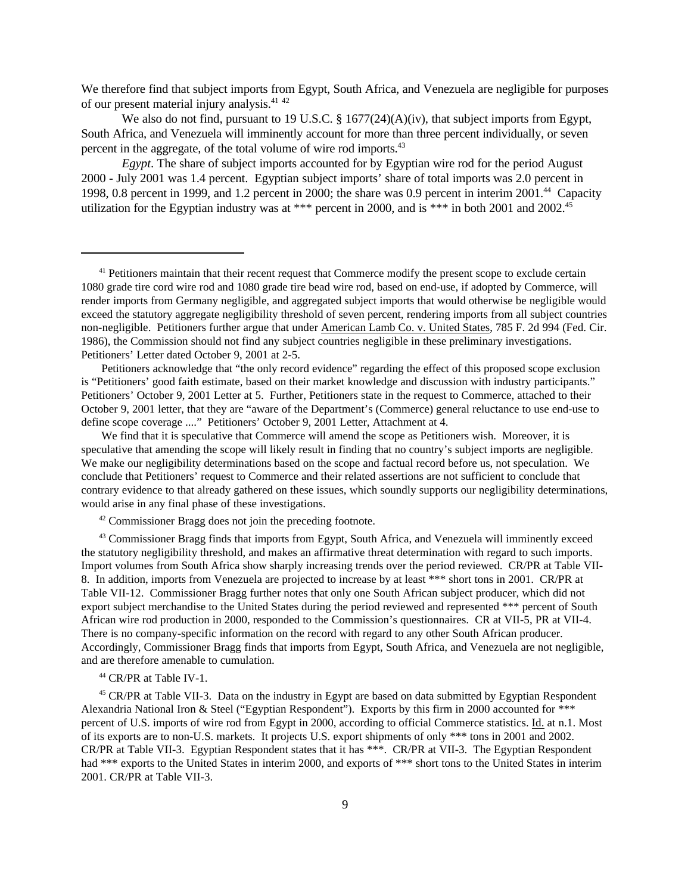We therefore find that subject imports from Egypt, South Africa, and Venezuela are negligible for purposes of our present material injury analysis.<sup>41</sup> <sup>42</sup>

We also do not find, pursuant to 19 U.S.C. § 1677(24)(A)(iv), that subject imports from Egypt, South Africa, and Venezuela will imminently account for more than three percent individually, or seven percent in the aggregate, of the total volume of wire rod imports.<sup>43</sup>

*Egypt*. The share of subject imports accounted for by Egyptian wire rod for the period August 2000 - July 2001 was 1.4 percent. Egyptian subject imports' share of total imports was 2.0 percent in 1998, 0.8 percent in 1999, and 1.2 percent in 2000; the share was 0.9 percent in interim 2001.<sup>44</sup> Capacity utilization for the Egyptian industry was at \*\*\* percent in 2000, and is \*\*\* in both 2001 and 2002.<sup>45</sup>

Petitioners acknowledge that "the only record evidence" regarding the effect of this proposed scope exclusion is "Petitioners' good faith estimate, based on their market knowledge and discussion with industry participants." Petitioners' October 9, 2001 Letter at 5. Further, Petitioners state in the request to Commerce, attached to their October 9, 2001 letter, that they are "aware of the Department's (Commerce) general reluctance to use end-use to define scope coverage ...." Petitioners' October 9, 2001 Letter, Attachment at 4.

We find that it is speculative that Commerce will amend the scope as Petitioners wish. Moreover, it is speculative that amending the scope will likely result in finding that no country's subject imports are negligible. We make our negligibility determinations based on the scope and factual record before us, not speculation. We conclude that Petitioners' request to Commerce and their related assertions are not sufficient to conclude that contrary evidence to that already gathered on these issues, which soundly supports our negligibility determinations, would arise in any final phase of these investigations.

<sup>42</sup> Commissioner Bragg does not join the preceding footnote.

<sup>43</sup> Commissioner Bragg finds that imports from Egypt, South Africa, and Venezuela will imminently exceed the statutory negligibility threshold, and makes an affirmative threat determination with regard to such imports. Import volumes from South Africa show sharply increasing trends over the period reviewed. CR/PR at Table VII-8. In addition, imports from Venezuela are projected to increase by at least \*\*\* short tons in 2001. CR/PR at Table VII-12. Commissioner Bragg further notes that only one South African subject producer, which did not export subject merchandise to the United States during the period reviewed and represented \*\*\* percent of South African wire rod production in 2000, responded to the Commission's questionnaires. CR at VII-5, PR at VII-4. There is no company-specific information on the record with regard to any other South African producer. Accordingly, Commissioner Bragg finds that imports from Egypt, South Africa, and Venezuela are not negligible, and are therefore amenable to cumulation.

<sup>44</sup> CR/PR at Table IV-1.

<sup>45</sup> CR/PR at Table VII-3. Data on the industry in Egypt are based on data submitted by Egyptian Respondent Alexandria National Iron & Steel ("Egyptian Respondent"). Exports by this firm in 2000 accounted for \*\*\* percent of U.S. imports of wire rod from Egypt in 2000, according to official Commerce statistics. Id. at n.1. Most of its exports are to non-U.S. markets. It projects U.S. export shipments of only \*\*\* tons in 2001 and 2002. CR/PR at Table VII-3. Egyptian Respondent states that it has \*\*\*. CR/PR at VII-3. The Egyptian Respondent had \*\*\* exports to the United States in interim 2000, and exports of \*\*\* short tons to the United States in interim 2001. CR/PR at Table VII-3.

<sup>&</sup>lt;sup>41</sup> Petitioners maintain that their recent request that Commerce modify the present scope to exclude certain 1080 grade tire cord wire rod and 1080 grade tire bead wire rod, based on end-use, if adopted by Commerce, will render imports from Germany negligible, and aggregated subject imports that would otherwise be negligible would exceed the statutory aggregate negligibility threshold of seven percent, rendering imports from all subject countries non-negligible. Petitioners further argue that under American Lamb Co. v. United States, 785 F. 2d 994 (Fed. Cir. 1986), the Commission should not find any subject countries negligible in these preliminary investigations. Petitioners' Letter dated October 9, 2001 at 2-5.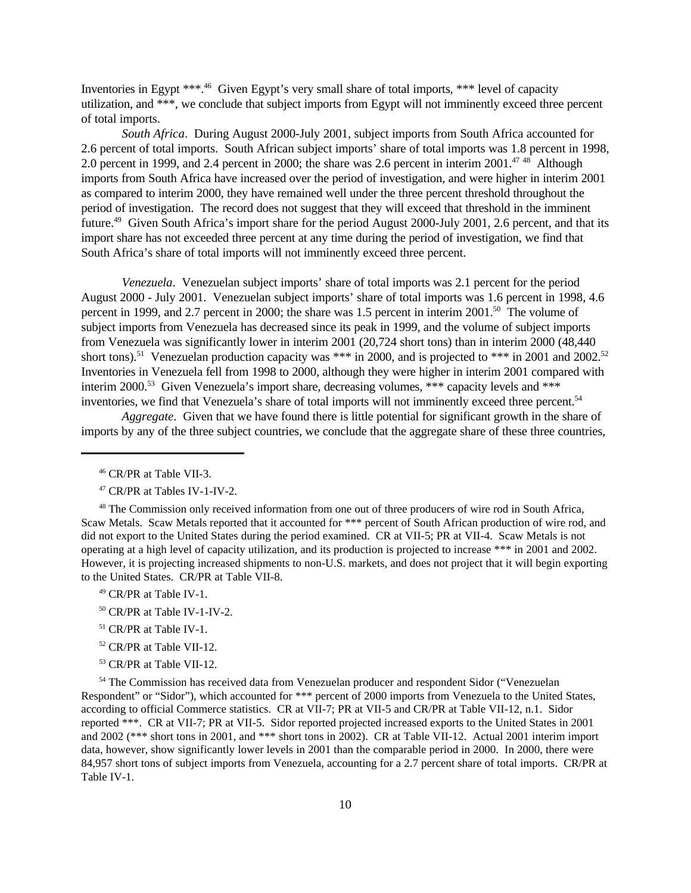Inventories in Egypt \*\*\*.<sup>46</sup> Given Egypt's very small share of total imports, \*\*\* level of capacity utilization, and \*\*\*, we conclude that subject imports from Egypt will not imminently exceed three percent of total imports.

*South Africa*. During August 2000-July 2001, subject imports from South Africa accounted for 2.6 percent of total imports. South African subject imports' share of total imports was 1.8 percent in 1998, 2.0 percent in 1999, and 2.4 percent in 2000; the share was 2.6 percent in interim 2001.<sup>47 48</sup> Although imports from South Africa have increased over the period of investigation, and were higher in interim 2001 as compared to interim 2000, they have remained well under the three percent threshold throughout the period of investigation. The record does not suggest that they will exceed that threshold in the imminent future.<sup>49</sup> Given South Africa's import share for the period August 2000-July 2001, 2.6 percent, and that its import share has not exceeded three percent at any time during the period of investigation, we find that South Africa's share of total imports will not imminently exceed three percent.

*Venezuela*. Venezuelan subject imports' share of total imports was 2.1 percent for the period August 2000 - July 2001. Venezuelan subject imports' share of total imports was 1.6 percent in 1998, 4.6 percent in 1999, and 2.7 percent in 2000; the share was 1.5 percent in interim 2001.<sup>50</sup> The volume of subject imports from Venezuela has decreased since its peak in 1999, and the volume of subject imports from Venezuela was significantly lower in interim 2001 (20,724 short tons) than in interim 2000 (48,440 short tons).<sup>51</sup> Venezuelan production capacity was \*\*\* in 2000, and is projected to \*\*\* in 2001 and 2002.<sup>52</sup> Inventories in Venezuela fell from 1998 to 2000, although they were higher in interim 2001 compared with interim 2000.<sup>53</sup> Given Venezuela's import share, decreasing volumes, \*\*\* capacity levels and \*\*\* inventories, we find that Venezuela's share of total imports will not imminently exceed three percent.<sup>54</sup>

*Aggregate*. Given that we have found there is little potential for significant growth in the share of imports by any of the three subject countries, we conclude that the aggregate share of these three countries,

- <sup>49</sup> CR/PR at Table IV-1.
- <sup>50</sup> CR/PR at Table IV-1-IV-2.
- <sup>51</sup> CR/PR at Table IV-1.
- <sup>52</sup> CR/PR at Table VII-12.
- <sup>53</sup> CR/PR at Table VII-12.

<sup>54</sup> The Commission has received data from Venezuelan producer and respondent Sidor ("Venezuelan Respondent" or "Sidor"), which accounted for \*\*\* percent of 2000 imports from Venezuela to the United States, according to official Commerce statistics. CR at VII-7; PR at VII-5 and CR/PR at Table VII-12, n.1. Sidor reported \*\*\*. CR at VII-7; PR at VII-5. Sidor reported projected increased exports to the United States in 2001 and 2002 (\*\*\* short tons in 2001, and \*\*\* short tons in 2002). CR at Table VII-12. Actual 2001 interim import data, however, show significantly lower levels in 2001 than the comparable period in 2000. In 2000, there were 84,957 short tons of subject imports from Venezuela, accounting for a 2.7 percent share of total imports. CR/PR at Table IV-1.

<sup>46</sup> CR/PR at Table VII-3.

<sup>47</sup> CR/PR at Tables IV-1-IV-2.

<sup>&</sup>lt;sup>48</sup> The Commission only received information from one out of three producers of wire rod in South Africa, Scaw Metals. Scaw Metals reported that it accounted for \*\*\* percent of South African production of wire rod, and did not export to the United States during the period examined. CR at VII-5; PR at VII-4. Scaw Metals is not operating at a high level of capacity utilization, and its production is projected to increase \*\*\* in 2001 and 2002. However, it is projecting increased shipments to non-U.S. markets, and does not project that it will begin exporting to the United States. CR/PR at Table VII-8.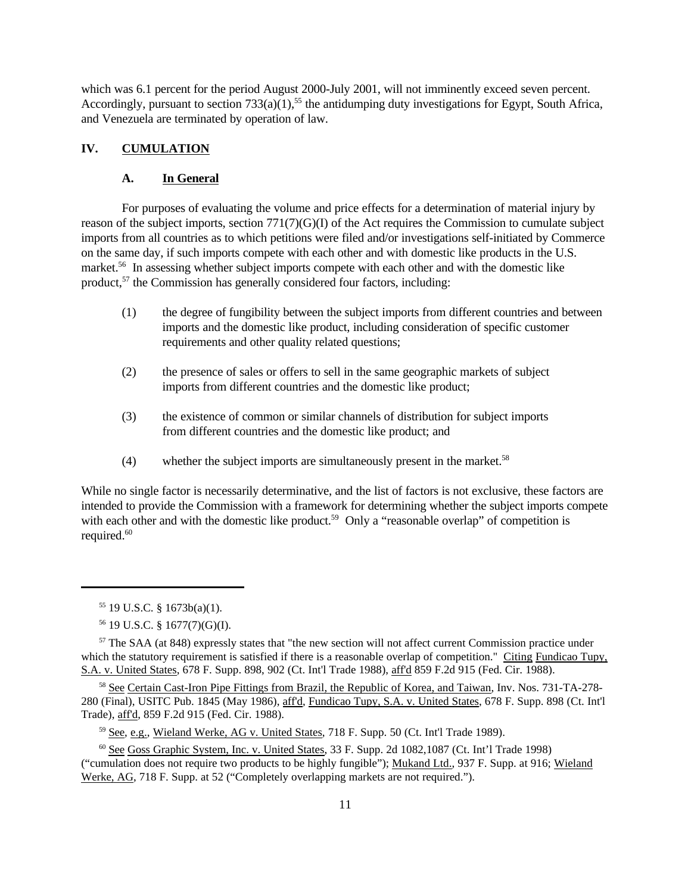which was 6.1 percent for the period August 2000-July 2001, will not imminently exceed seven percent. Accordingly, pursuant to section  $733(a)(1)$ ,<sup>55</sup> the antidumping duty investigations for Egypt, South Africa, and Venezuela are terminated by operation of law.

## **IV. CUMULATION**

### **A. In General**

For purposes of evaluating the volume and price effects for a determination of material injury by reason of the subject imports, section 771(7)(G)(I) of the Act requires the Commission to cumulate subject imports from all countries as to which petitions were filed and/or investigations self-initiated by Commerce on the same day, if such imports compete with each other and with domestic like products in the U.S. market.<sup>56</sup> In assessing whether subject imports compete with each other and with the domestic like product,<sup>57</sup> the Commission has generally considered four factors, including:

- (1) the degree of fungibility between the subject imports from different countries and between imports and the domestic like product, including consideration of specific customer requirements and other quality related questions;
- (2) the presence of sales or offers to sell in the same geographic markets of subject imports from different countries and the domestic like product;
- (3) the existence of common or similar channels of distribution for subject imports from different countries and the domestic like product; and
- (4) whether the subject imports are simultaneously present in the market.<sup>58</sup>

While no single factor is necessarily determinative, and the list of factors is not exclusive, these factors are intended to provide the Commission with a framework for determining whether the subject imports compete with each other and with the domestic like product.<sup>59</sup> Only a "reasonable overlap" of competition is required.<sup>60</sup>

<sup>58</sup> See Certain Cast-Iron Pipe Fittings from Brazil, the Republic of Korea, and Taiwan, Inv. Nos. 731-TA-278-280 (Final), USITC Pub. 1845 (May 1986), aff'd, Fundicao Tupy, S.A. v. United States, 678 F. Supp. 898 (Ct. Int'l Trade), aff'd, 859 F.2d 915 (Fed. Cir. 1988).

<sup>59</sup> See, e.g., Wieland Werke, AG v. United States, 718 F. Supp. 50 (Ct. Int'l Trade 1989).

<sup>55</sup> 19 U.S.C. § 1673b(a)(1).

<sup>56</sup> 19 U.S.C. § 1677(7)(G)(I).

<sup>&</sup>lt;sup>57</sup> The SAA (at 848) expressly states that "the new section will not affect current Commission practice under which the statutory requirement is satisfied if there is a reasonable overlap of competition." Citing Fundicao Tupy, S.A. v. United States, 678 F. Supp. 898, 902 (Ct. Int'l Trade 1988), aff'd 859 F.2d 915 (Fed. Cir. 1988).

<sup>60</sup> See Goss Graphic System, Inc. v. United States, 33 F. Supp. 2d 1082,1087 (Ct. Int'l Trade 1998) ("cumulation does not require two products to be highly fungible"); Mukand Ltd., 937 F. Supp. at 916; Wieland Werke, AG, 718 F. Supp. at 52 ("Completely overlapping markets are not required.").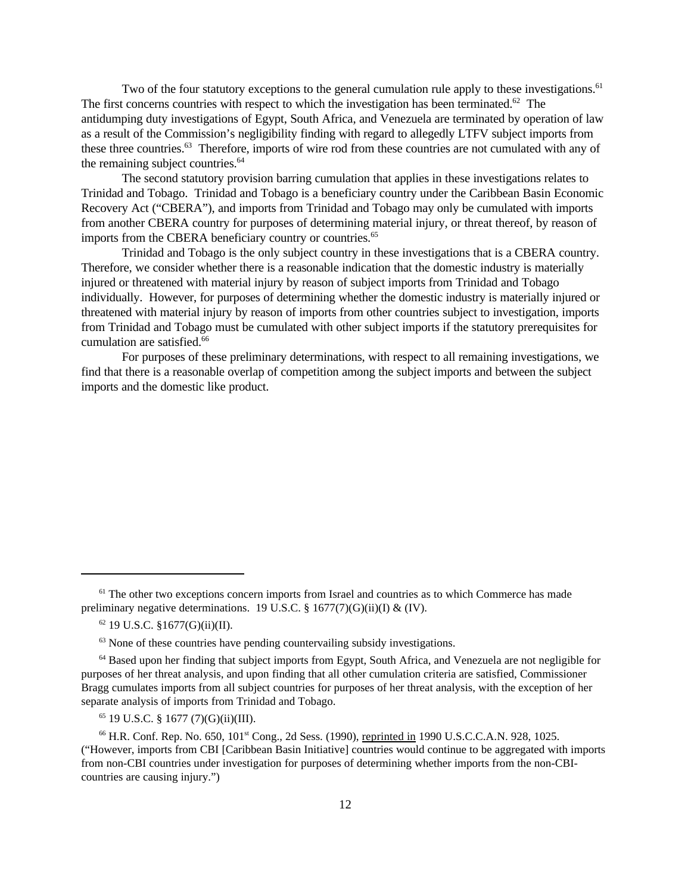Two of the four statutory exceptions to the general cumulation rule apply to these investigations.<sup>61</sup> The first concerns countries with respect to which the investigation has been terminated. $62$  The antidumping duty investigations of Egypt, South Africa, and Venezuela are terminated by operation of law as a result of the Commission's negligibility finding with regard to allegedly LTFV subject imports from these three countries.<sup>63</sup> Therefore, imports of wire rod from these countries are not cumulated with any of the remaining subject countries.<sup>64</sup>

The second statutory provision barring cumulation that applies in these investigations relates to Trinidad and Tobago. Trinidad and Tobago is a beneficiary country under the Caribbean Basin Economic Recovery Act ("CBERA"), and imports from Trinidad and Tobago may only be cumulated with imports from another CBERA country for purposes of determining material injury, or threat thereof, by reason of imports from the CBERA beneficiary country or countries.<sup>65</sup>

Trinidad and Tobago is the only subject country in these investigations that is a CBERA country. Therefore, we consider whether there is a reasonable indication that the domestic industry is materially injured or threatened with material injury by reason of subject imports from Trinidad and Tobago individually. However, for purposes of determining whether the domestic industry is materially injured or threatened with material injury by reason of imports from other countries subject to investigation, imports from Trinidad and Tobago must be cumulated with other subject imports if the statutory prerequisites for cumulation are satisfied.<sup>66</sup>

For purposes of these preliminary determinations, with respect to all remaining investigations, we find that there is a reasonable overlap of competition among the subject imports and between the subject imports and the domestic like product.

 $65$  19 U.S.C. § 1677 (7)(G)(ii)(III).

<sup>&</sup>lt;sup>61</sup> The other two exceptions concern imports from Israel and countries as to which Commerce has made preliminary negative determinations. 19 U.S.C.  $\S$  1677(7)(G)(ii)(I) & (IV).

 $62$  19 U.S.C. §1677(G)(ii)(II).

 $63$  None of these countries have pending countervailing subsidy investigations.

<sup>&</sup>lt;sup>64</sup> Based upon her finding that subject imports from Egypt, South Africa, and Venezuela are not negligible for purposes of her threat analysis, and upon finding that all other cumulation criteria are satisfied, Commissioner Bragg cumulates imports from all subject countries for purposes of her threat analysis, with the exception of her separate analysis of imports from Trinidad and Tobago.

<sup>66</sup> H.R. Conf. Rep. No. 650, 101st Cong., 2d Sess. (1990), reprinted in 1990 U.S.C.C.A.N. 928, 1025. ("However, imports from CBI [Caribbean Basin Initiative] countries would continue to be aggregated with imports from non-CBI countries under investigation for purposes of determining whether imports from the non-CBIcountries are causing injury.")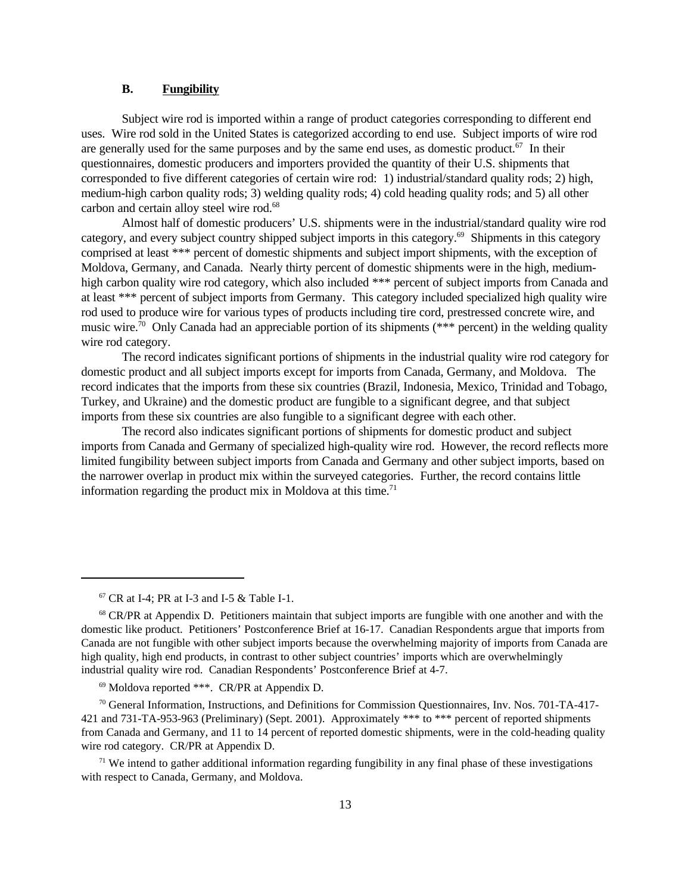## **B. Fungibility**

Subject wire rod is imported within a range of product categories corresponding to different end uses. Wire rod sold in the United States is categorized according to end use. Subject imports of wire rod are generally used for the same purposes and by the same end uses, as domestic product.<sup>67</sup> In their questionnaires, domestic producers and importers provided the quantity of their U.S. shipments that corresponded to five different categories of certain wire rod: 1) industrial/standard quality rods; 2) high, medium-high carbon quality rods; 3) welding quality rods; 4) cold heading quality rods; and 5) all other carbon and certain alloy steel wire rod.<sup>68</sup>

Almost half of domestic producers' U.S. shipments were in the industrial/standard quality wire rod category, and every subject country shipped subject imports in this category.<sup>69</sup> Shipments in this category comprised at least \*\*\* percent of domestic shipments and subject import shipments, with the exception of Moldova, Germany, and Canada. Nearly thirty percent of domestic shipments were in the high, mediumhigh carbon quality wire rod category, which also included \*\*\* percent of subject imports from Canada and at least \*\*\* percent of subject imports from Germany. This category included specialized high quality wire rod used to produce wire for various types of products including tire cord, prestressed concrete wire, and music wire.<sup>70</sup> Only Canada had an appreciable portion of its shipments (\*\*\* percent) in the welding quality wire rod category.

The record indicates significant portions of shipments in the industrial quality wire rod category for domestic product and all subject imports except for imports from Canada, Germany, and Moldova. The record indicates that the imports from these six countries (Brazil, Indonesia, Mexico, Trinidad and Tobago, Turkey, and Ukraine) and the domestic product are fungible to a significant degree, and that subject imports from these six countries are also fungible to a significant degree with each other.

The record also indicates significant portions of shipments for domestic product and subject imports from Canada and Germany of specialized high-quality wire rod. However, the record reflects more limited fungibility between subject imports from Canada and Germany and other subject imports, based on the narrower overlap in product mix within the surveyed categories. Further, the record contains little information regarding the product mix in Moldova at this time.<sup>71</sup>

 $67$  CR at I-4; PR at I-3 and I-5 & Table I-1.

<sup>68</sup> CR/PR at Appendix D. Petitioners maintain that subject imports are fungible with one another and with the domestic like product. Petitioners' Postconference Brief at 16-17. Canadian Respondents argue that imports from Canada are not fungible with other subject imports because the overwhelming majority of imports from Canada are high quality, high end products, in contrast to other subject countries' imports which are overwhelmingly industrial quality wire rod. Canadian Respondents' Postconference Brief at 4-7.

<sup>69</sup> Moldova reported \*\*\*. CR/PR at Appendix D.

 $70$  General Information, Instructions, and Definitions for Commission Questionnaires, Inv. Nos. 701-TA-417-421 and 731-TA-953-963 (Preliminary) (Sept. 2001). Approximately \*\*\* to \*\*\* percent of reported shipments from Canada and Germany, and 11 to 14 percent of reported domestic shipments, were in the cold-heading quality wire rod category. CR/PR at Appendix D.

 $71$  We intend to gather additional information regarding fungibility in any final phase of these investigations with respect to Canada, Germany, and Moldova.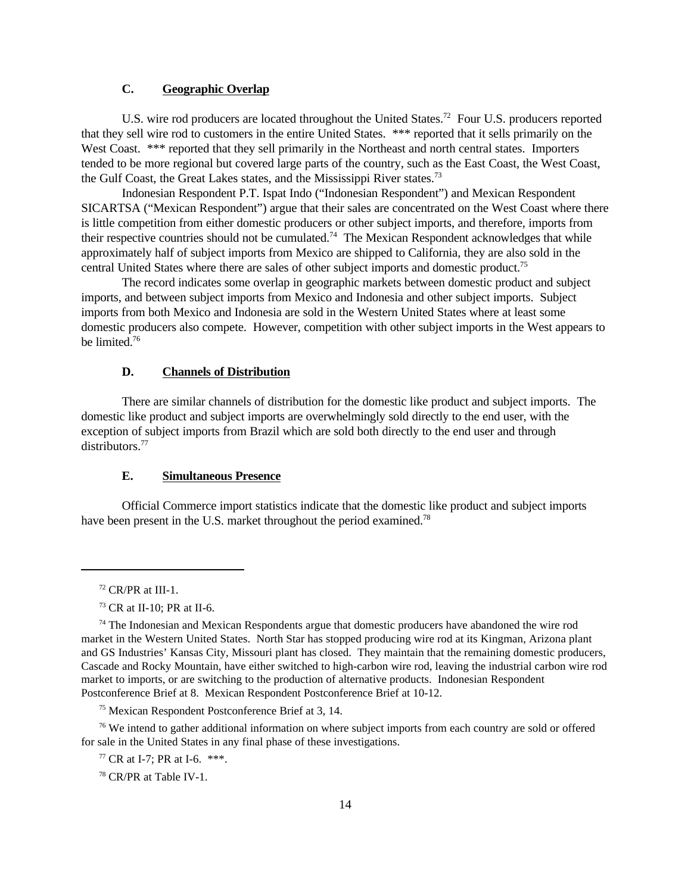## **C. Geographic Overlap**

U.S. wire rod producers are located throughout the United States.<sup>72</sup> Four U.S. producers reported that they sell wire rod to customers in the entire United States. \*\*\* reported that it sells primarily on the West Coast. \*\*\* reported that they sell primarily in the Northeast and north central states. Importers tended to be more regional but covered large parts of the country, such as the East Coast, the West Coast, the Gulf Coast, the Great Lakes states, and the Mississippi River states.<sup>73</sup>

Indonesian Respondent P.T. Ispat Indo ("Indonesian Respondent") and Mexican Respondent SICARTSA ("Mexican Respondent") argue that their sales are concentrated on the West Coast where there is little competition from either domestic producers or other subject imports, and therefore, imports from their respective countries should not be cumulated.<sup>74</sup> The Mexican Respondent acknowledges that while approximately half of subject imports from Mexico are shipped to California, they are also sold in the central United States where there are sales of other subject imports and domestic product.<sup>75</sup>

The record indicates some overlap in geographic markets between domestic product and subject imports, and between subject imports from Mexico and Indonesia and other subject imports. Subject imports from both Mexico and Indonesia are sold in the Western United States where at least some domestic producers also compete. However, competition with other subject imports in the West appears to be limited.<sup>76</sup>

## **D. Channels of Distribution**

There are similar channels of distribution for the domestic like product and subject imports. The domestic like product and subject imports are overwhelmingly sold directly to the end user, with the exception of subject imports from Brazil which are sold both directly to the end user and through distributors.<sup>77</sup>

#### **E. Simultaneous Presence**

Official Commerce import statistics indicate that the domestic like product and subject imports have been present in the U.S. market throughout the period examined.<sup>78</sup>

<sup>75</sup> Mexican Respondent Postconference Brief at 3, 14.

<sup>76</sup> We intend to gather additional information on where subject imports from each country are sold or offered for sale in the United States in any final phase of these investigations.

 $77$  CR at I-7: PR at I-6. \*\*\*.

<sup>78</sup> CR/PR at Table IV-1.

 $72$  CR/PR at III-1.

<sup>73</sup> CR at II-10; PR at II-6.

 $74$  The Indonesian and Mexican Respondents argue that domestic producers have abandoned the wire rod market in the Western United States. North Star has stopped producing wire rod at its Kingman, Arizona plant and GS Industries' Kansas City, Missouri plant has closed. They maintain that the remaining domestic producers, Cascade and Rocky Mountain, have either switched to high-carbon wire rod, leaving the industrial carbon wire rod market to imports, or are switching to the production of alternative products. Indonesian Respondent Postconference Brief at 8. Mexican Respondent Postconference Brief at 10-12.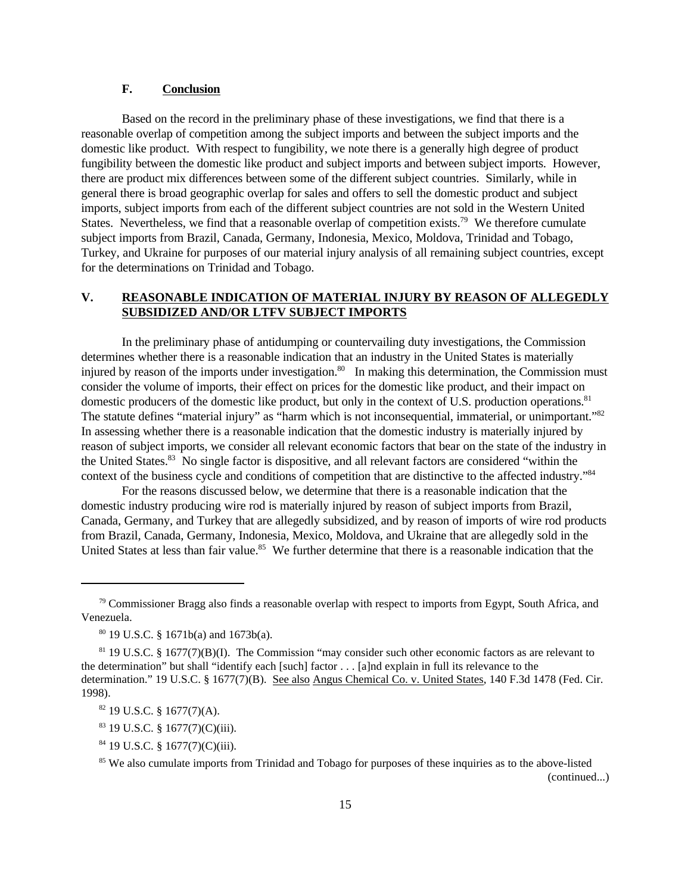## **F. Conclusion**

Based on the record in the preliminary phase of these investigations, we find that there is a reasonable overlap of competition among the subject imports and between the subject imports and the domestic like product. With respect to fungibility, we note there is a generally high degree of product fungibility between the domestic like product and subject imports and between subject imports. However, there are product mix differences between some of the different subject countries. Similarly, while in general there is broad geographic overlap for sales and offers to sell the domestic product and subject imports, subject imports from each of the different subject countries are not sold in the Western United States. Nevertheless, we find that a reasonable overlap of competition exists.<sup>79</sup> We therefore cumulate subject imports from Brazil, Canada, Germany, Indonesia, Mexico, Moldova, Trinidad and Tobago, Turkey, and Ukraine for purposes of our material injury analysis of all remaining subject countries, except for the determinations on Trinidad and Tobago.

## **V. REASONABLE INDICATION OF MATERIAL INJURY BY REASON OF ALLEGEDLY SUBSIDIZED AND/OR LTFV SUBJECT IMPORTS**

In the preliminary phase of antidumping or countervailing duty investigations, the Commission determines whether there is a reasonable indication that an industry in the United States is materially injured by reason of the imports under investigation.<sup>80</sup> In making this determination, the Commission must consider the volume of imports, their effect on prices for the domestic like product, and their impact on domestic producers of the domestic like product, but only in the context of U.S. production operations.<sup>81</sup> The statute defines "material injury" as "harm which is not inconsequential, immaterial, or unimportant."<sup>82</sup> In assessing whether there is a reasonable indication that the domestic industry is materially injured by reason of subject imports, we consider all relevant economic factors that bear on the state of the industry in the United States.<sup>83</sup> No single factor is dispositive, and all relevant factors are considered "within the context of the business cycle and conditions of competition that are distinctive to the affected industry."<sup>84</sup>

For the reasons discussed below, we determine that there is a reasonable indication that the domestic industry producing wire rod is materially injured by reason of subject imports from Brazil, Canada, Germany, and Turkey that are allegedly subsidized, and by reason of imports of wire rod products from Brazil, Canada, Germany, Indonesia, Mexico, Moldova, and Ukraine that are allegedly sold in the United States at less than fair value.<sup>85</sup> We further determine that there is a reasonable indication that the

 $84$  19 U.S.C. § 1677(7)(C)(iii).

 $79$  Commissioner Bragg also finds a reasonable overlap with respect to imports from Egypt, South Africa, and Venezuela.

 $80$  19 U.S.C. § 1671b(a) and 1673b(a).

 $81$  19 U.S.C. § 1677(7)(B)(I). The Commission "may consider such other economic factors as are relevant to the determination" but shall "identify each [such] factor . . . [a]nd explain in full its relevance to the determination." 19 U.S.C. § 1677(7)(B). See also Angus Chemical Co. v. United States, 140 F.3d 1478 (Fed. Cir. 1998).

 $82$  19 U.S.C. § 1677(7)(A).

 $83$  19 U.S.C. § 1677(7)(C)(iii).

<sup>&</sup>lt;sup>85</sup> We also cumulate imports from Trinidad and Tobago for purposes of these inquiries as to the above-listed (continued...)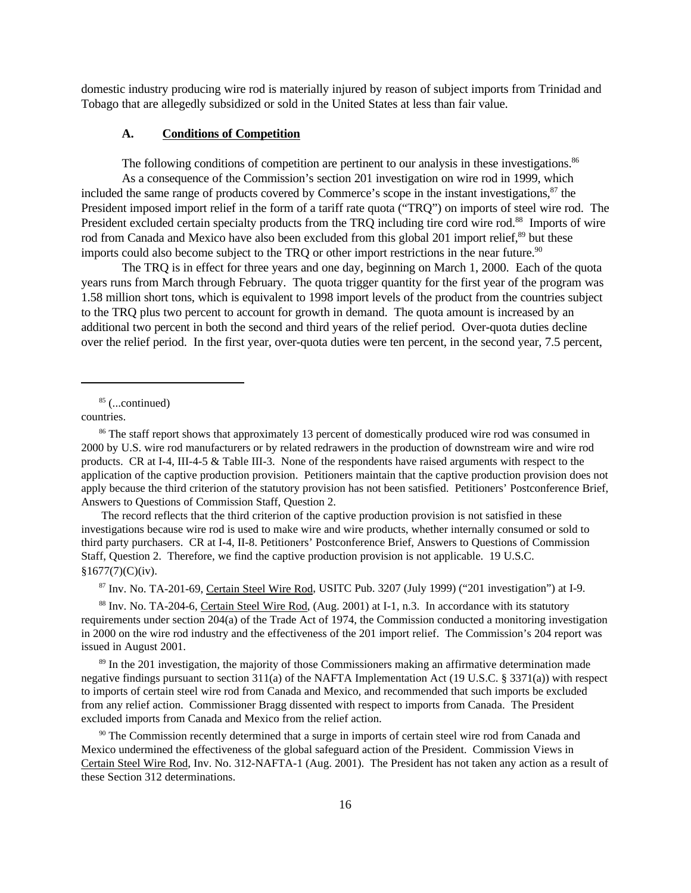domestic industry producing wire rod is materially injured by reason of subject imports from Trinidad and Tobago that are allegedly subsidized or sold in the United States at less than fair value.

### **A. Conditions of Competition**

The following conditions of competition are pertinent to our analysis in these investigations.<sup>86</sup> As a consequence of the Commission's section 201 investigation on wire rod in 1999, which included the same range of products covered by Commerce's scope in the instant investigations,<sup>87</sup> the President imposed import relief in the form of a tariff rate quota ("TRQ") on imports of steel wire rod. The President excluded certain specialty products from the TRQ including tire cord wire rod.<sup>88</sup> Imports of wire rod from Canada and Mexico have also been excluded from this global 201 import relief,<sup>89</sup> but these imports could also become subject to the TRQ or other import restrictions in the near future.<sup>90</sup>

The TRQ is in effect for three years and one day, beginning on March 1, 2000. Each of the quota years runs from March through February. The quota trigger quantity for the first year of the program was 1.58 million short tons, which is equivalent to 1998 import levels of the product from the countries subject to the TRQ plus two percent to account for growth in demand. The quota amount is increased by an additional two percent in both the second and third years of the relief period. Over-quota duties decline over the relief period. In the first year, over-quota duties were ten percent, in the second year, 7.5 percent,

 $85$  (...continued)

countries.

The record reflects that the third criterion of the captive production provision is not satisfied in these investigations because wire rod is used to make wire and wire products, whether internally consumed or sold to third party purchasers. CR at I-4, II-8. Petitioners' Postconference Brief, Answers to Questions of Commission Staff, Question 2. Therefore, we find the captive production provision is not applicable. 19 U.S.C.  $§1677(7)(C)(iv).$ 

<sup>87</sup> Inv. No. TA-201-69, Certain Steel Wire Rod, USITC Pub. 3207 (July 1999) ("201 investigation") at I-9.

<sup>88</sup> Inv. No. TA-204-6, Certain Steel Wire Rod, (Aug. 2001) at I-1, n.3. In accordance with its statutory requirements under section 204(a) of the Trade Act of 1974, the Commission conducted a monitoring investigation in 2000 on the wire rod industry and the effectiveness of the 201 import relief. The Commission's 204 report was issued in August 2001.

<sup>89</sup> In the 201 investigation, the majority of those Commissioners making an affirmative determination made negative findings pursuant to section 311(a) of the NAFTA Implementation Act (19 U.S.C. § 3371(a)) with respect to imports of certain steel wire rod from Canada and Mexico, and recommended that such imports be excluded from any relief action. Commissioner Bragg dissented with respect to imports from Canada. The President excluded imports from Canada and Mexico from the relief action.

<sup>90</sup> The Commission recently determined that a surge in imports of certain steel wire rod from Canada and Mexico undermined the effectiveness of the global safeguard action of the President. Commission Views in Certain Steel Wire Rod, Inv. No. 312-NAFTA-1 (Aug. 2001). The President has not taken any action as a result of these Section 312 determinations.

<sup>&</sup>lt;sup>86</sup> The staff report shows that approximately 13 percent of domestically produced wire rod was consumed in 2000 by U.S. wire rod manufacturers or by related redrawers in the production of downstream wire and wire rod products. CR at I-4, III-4-5 & Table III-3. None of the respondents have raised arguments with respect to the application of the captive production provision. Petitioners maintain that the captive production provision does not apply because the third criterion of the statutory provision has not been satisfied. Petitioners' Postconference Brief, Answers to Questions of Commission Staff, Question 2.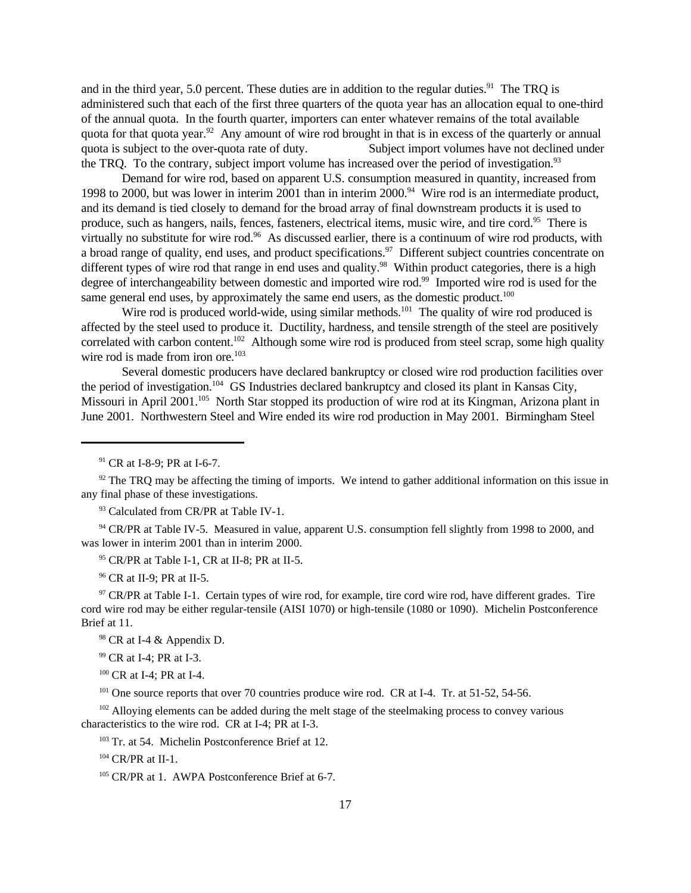and in the third year, 5.0 percent. These duties are in addition to the regular duties.<sup>91</sup> The TRQ is administered such that each of the first three quarters of the quota year has an allocation equal to one-third of the annual quota. In the fourth quarter, importers can enter whatever remains of the total available quota for that quota year.<sup>92</sup> Any amount of wire rod brought in that is in excess of the quarterly or annual quota is subject to the over-quota rate of duty. Subject import volumes have not declined under the TRQ. To the contrary, subject import volume has increased over the period of investigation.<sup>93</sup>

Demand for wire rod, based on apparent U.S. consumption measured in quantity, increased from 1998 to 2000, but was lower in interim 2001 than in interim 2000.<sup>94</sup> Wire rod is an intermediate product, and its demand is tied closely to demand for the broad array of final downstream products it is used to produce, such as hangers, nails, fences, fasteners, electrical items, music wire, and tire cord.<sup>95</sup> There is virtually no substitute for wire rod.<sup>96</sup> As discussed earlier, there is a continuum of wire rod products, with a broad range of quality, end uses, and product specifications.<sup>97</sup> Different subject countries concentrate on different types of wire rod that range in end uses and quality.<sup>98</sup> Within product categories, there is a high degree of interchangeability between domestic and imported wire rod.<sup>99</sup> Imported wire rod is used for the same general end uses, by approximately the same end users, as the domestic product.<sup>100</sup>

Wire rod is produced world-wide, using similar methods.<sup>101</sup> The quality of wire rod produced is affected by the steel used to produce it. Ductility, hardness, and tensile strength of the steel are positively correlated with carbon content.<sup>102</sup> Although some wire rod is produced from steel scrap, some high quality wire rod is made from iron ore.<sup>103</sup>

Several domestic producers have declared bankruptcy or closed wire rod production facilities over the period of investigation.<sup>104</sup> GS Industries declared bankruptcy and closed its plant in Kansas City, Missouri in April 2001.<sup>105</sup> North Star stopped its production of wire rod at its Kingman, Arizona plant in June 2001. Northwestern Steel and Wire ended its wire rod production in May 2001. Birmingham Steel

<sup>94</sup> CR/PR at Table IV-5. Measured in value, apparent U.S. consumption fell slightly from 1998 to 2000, and was lower in interim 2001 than in interim 2000.

 $95$  CR/PR at Table I-1, CR at II-8; PR at II-5.

<sup>96</sup> CR at II-9; PR at II-5.

 $97$  CR/PR at Table I-1. Certain types of wire rod, for example, tire cord wire rod, have different grades. Tire cord wire rod may be either regular-tensile (AISI 1070) or high-tensile (1080 or 1090). Michelin Postconference Brief at 11.

<sup>98</sup> CR at I-4 & Appendix D.

<sup>99</sup> CR at I-4; PR at I-3.

<sup>100</sup> CR at I-4; PR at I-4.

<sup>101</sup> One source reports that over 70 countries produce wire rod. CR at I-4. Tr. at 51-52, 54-56.

<sup>102</sup> Alloying elements can be added during the melt stage of the steelmaking process to convey various characteristics to the wire rod. CR at I-4; PR at I-3.

<sup>103</sup> Tr. at 54. Michelin Postconference Brief at 12.

 $104$  CR/PR at II-1.

<sup>105</sup> CR/PR at 1. AWPA Postconference Brief at 6-7.

<sup>91</sup> CR at I-8-9; PR at I-6-7.

 $92$  The TRQ may be affecting the timing of imports. We intend to gather additional information on this issue in any final phase of these investigations.

<sup>&</sup>lt;sup>93</sup> Calculated from CR/PR at Table IV-1.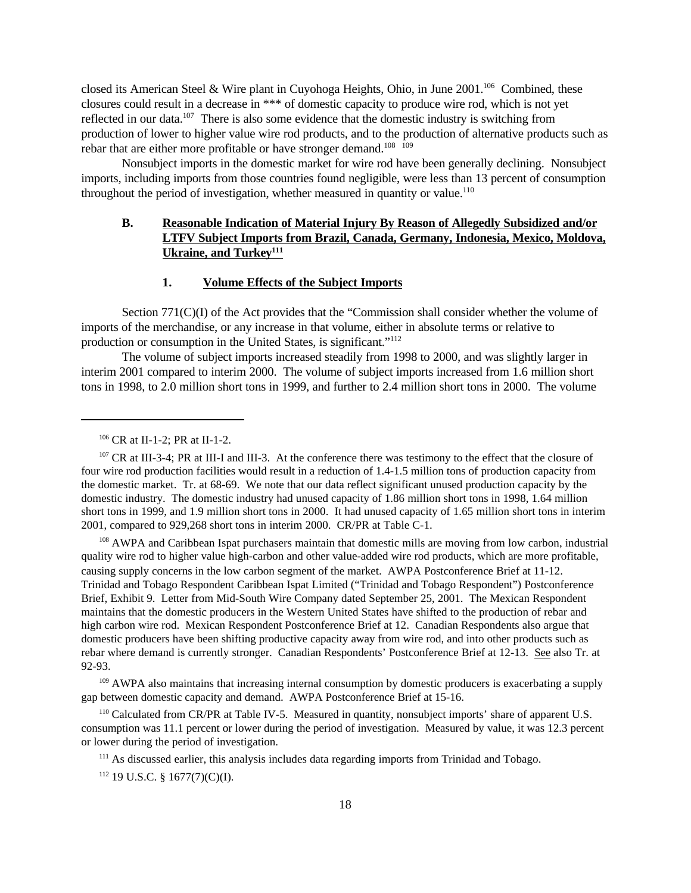closed its American Steel & Wire plant in Cuyohoga Heights, Ohio, in June 2001.<sup>106</sup> Combined, these closures could result in a decrease in \*\*\* of domestic capacity to produce wire rod, which is not yet reflected in our data.<sup>107</sup> There is also some evidence that the domestic industry is switching from production of lower to higher value wire rod products, and to the production of alternative products such as rebar that are either more profitable or have stronger demand.<sup>108</sup> <sup>109</sup>

Nonsubject imports in the domestic market for wire rod have been generally declining. Nonsubject imports, including imports from those countries found negligible, were less than 13 percent of consumption throughout the period of investigation, whether measured in quantity or value.<sup>110</sup>

## **B. Reasonable Indication of Material Injury By Reason of Allegedly Subsidized and/or LTFV Subject Imports from Brazil, Canada, Germany, Indonesia, Mexico, Moldova, Ukraine, and Turkey<sup>111</sup>**

## **1. Volume Effects of the Subject Imports**

Section 771(C)(I) of the Act provides that the "Commission shall consider whether the volume of imports of the merchandise, or any increase in that volume, either in absolute terms or relative to production or consumption in the United States, is significant."<sup>112</sup>

The volume of subject imports increased steadily from 1998 to 2000, and was slightly larger in interim 2001 compared to interim 2000. The volume of subject imports increased from 1.6 million short tons in 1998, to 2.0 million short tons in 1999, and further to 2.4 million short tons in 2000. The volume

<sup>108</sup> AWPA and Caribbean Ispat purchasers maintain that domestic mills are moving from low carbon, industrial quality wire rod to higher value high-carbon and other value-added wire rod products, which are more profitable, causing supply concerns in the low carbon segment of the market. AWPA Postconference Brief at 11-12. Trinidad and Tobago Respondent Caribbean Ispat Limited ("Trinidad and Tobago Respondent") Postconference Brief, Exhibit 9. Letter from Mid-South Wire Company dated September 25, 2001. The Mexican Respondent maintains that the domestic producers in the Western United States have shifted to the production of rebar and high carbon wire rod. Mexican Respondent Postconference Brief at 12. Canadian Respondents also argue that domestic producers have been shifting productive capacity away from wire rod, and into other products such as rebar where demand is currently stronger. Canadian Respondents' Postconference Brief at 12-13. See also Tr. at 92-93.

<sup>109</sup> AWPA also maintains that increasing internal consumption by domestic producers is exacerbating a supply gap between domestic capacity and demand. AWPA Postconference Brief at 15-16.

<sup>110</sup> Calculated from CR/PR at Table IV-5. Measured in quantity, nonsubject imports' share of apparent U.S. consumption was 11.1 percent or lower during the period of investigation. Measured by value, it was 12.3 percent or lower during the period of investigation.

<sup>111</sup> As discussed earlier, this analysis includes data regarding imports from Trinidad and Tobago.

 $112$  19 U.S.C. § 1677(7)(C)(I).

<sup>106</sup> CR at II-1-2; PR at II-1-2.

<sup>&</sup>lt;sup>107</sup> CR at III-3-4; PR at III-I and III-3. At the conference there was testimony to the effect that the closure of four wire rod production facilities would result in a reduction of 1.4-1.5 million tons of production capacity from the domestic market. Tr. at 68-69. We note that our data reflect significant unused production capacity by the domestic industry. The domestic industry had unused capacity of 1.86 million short tons in 1998, 1.64 million short tons in 1999, and 1.9 million short tons in 2000. It had unused capacity of 1.65 million short tons in interim 2001, compared to 929,268 short tons in interim 2000. CR/PR at Table C-1.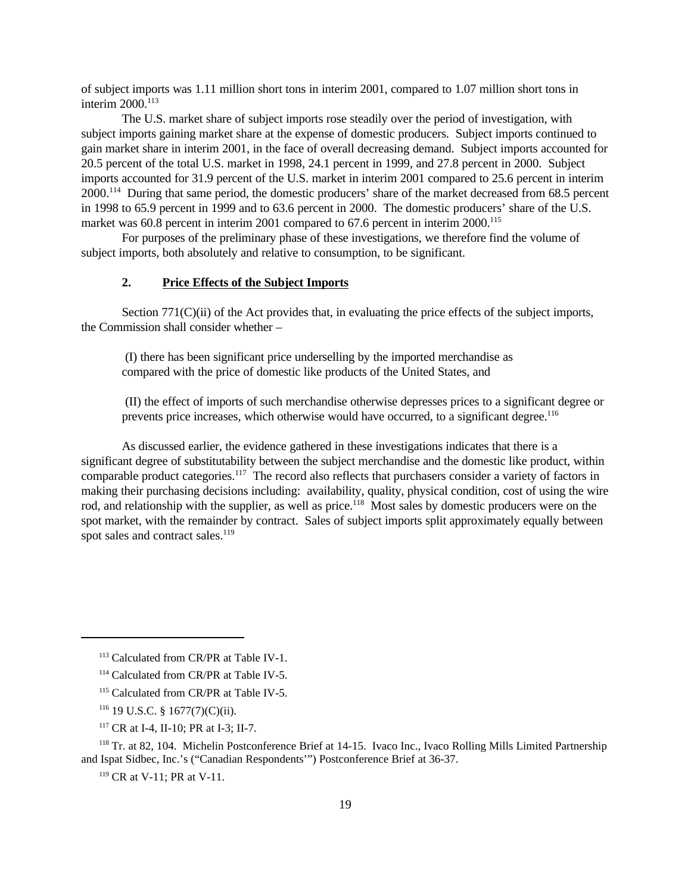of subject imports was 1.11 million short tons in interim 2001, compared to 1.07 million short tons in interim 2000.<sup>113</sup>

The U.S. market share of subject imports rose steadily over the period of investigation, with subject imports gaining market share at the expense of domestic producers. Subject imports continued to gain market share in interim 2001, in the face of overall decreasing demand. Subject imports accounted for 20.5 percent of the total U.S. market in 1998, 24.1 percent in 1999, and 27.8 percent in 2000. Subject imports accounted for 31.9 percent of the U.S. market in interim 2001 compared to 25.6 percent in interim 2000.<sup>114</sup> During that same period, the domestic producers' share of the market decreased from 68.5 percent in 1998 to 65.9 percent in 1999 and to 63.6 percent in 2000. The domestic producers' share of the U.S. market was 60.8 percent in interim 2001 compared to 67.6 percent in interim 2000.<sup>115</sup>

For purposes of the preliminary phase of these investigations, we therefore find the volume of subject imports, both absolutely and relative to consumption, to be significant.

### **2. Price Effects of the Subject Imports**

Section 771(C)(ii) of the Act provides that, in evaluating the price effects of the subject imports, the Commission shall consider whether –

 (I) there has been significant price underselling by the imported merchandise as compared with the price of domestic like products of the United States, and

 (II) the effect of imports of such merchandise otherwise depresses prices to a significant degree or prevents price increases, which otherwise would have occurred, to a significant degree.<sup>116</sup>

As discussed earlier, the evidence gathered in these investigations indicates that there is a significant degree of substitutability between the subject merchandise and the domestic like product, within comparable product categories.<sup>117</sup> The record also reflects that purchasers consider a variety of factors in making their purchasing decisions including: availability, quality, physical condition, cost of using the wire rod, and relationship with the supplier, as well as price.<sup>118</sup> Most sales by domestic producers were on the spot market, with the remainder by contract. Sales of subject imports split approximately equally between spot sales and contract sales.<sup>119</sup>

<sup>119</sup> CR at V-11; PR at V-11.

<sup>113</sup> Calculated from CR/PR at Table IV-1.

<sup>114</sup> Calculated from CR/PR at Table IV-5.

<sup>&</sup>lt;sup>115</sup> Calculated from CR/PR at Table IV-5.

 $116$  19 U.S.C. § 1677(7)(C)(ii).

<sup>117</sup> CR at I-4, II-10; PR at I-3; II-7.

<sup>118</sup> Tr. at 82, 104. Michelin Postconference Brief at 14-15. Ivaco Inc., Ivaco Rolling Mills Limited Partnership and Ispat Sidbec, Inc.'s ("Canadian Respondents'") Postconference Brief at 36-37.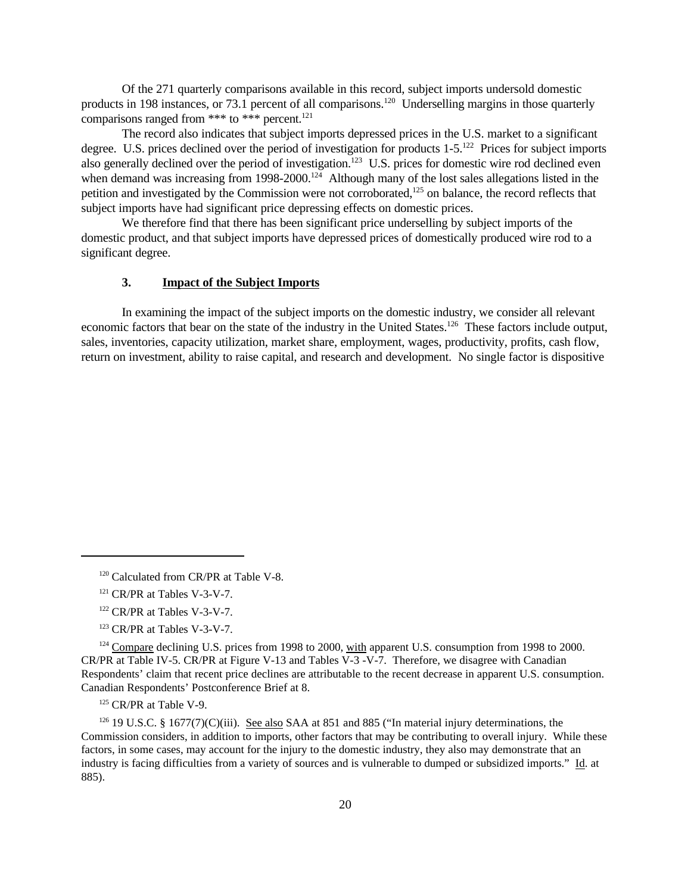Of the 271 quarterly comparisons available in this record, subject imports undersold domestic products in 198 instances, or 73.1 percent of all comparisons.<sup>120</sup> Underselling margins in those quarterly comparisons ranged from \*\*\* to \*\*\* percent.<sup>121</sup>

The record also indicates that subject imports depressed prices in the U.S. market to a significant degree. U.S. prices declined over the period of investigation for products 1-5.<sup>122</sup> Prices for subject imports also generally declined over the period of investigation.<sup>123</sup> U.S. prices for domestic wire rod declined even when demand was increasing from 1998-2000.<sup>124</sup> Although many of the lost sales allegations listed in the petition and investigated by the Commission were not corroborated,<sup>125</sup> on balance, the record reflects that subject imports have had significant price depressing effects on domestic prices.

We therefore find that there has been significant price underselling by subject imports of the domestic product, and that subject imports have depressed prices of domestically produced wire rod to a significant degree.

### **3. Impact of the Subject Imports**

In examining the impact of the subject imports on the domestic industry, we consider all relevant economic factors that bear on the state of the industry in the United States.<sup>126</sup> These factors include output, sales, inventories, capacity utilization, market share, employment, wages, productivity, profits, cash flow, return on investment, ability to raise capital, and research and development. No single factor is dispositive

- <sup>121</sup> CR/PR at Tables V-3-V-7.
- <sup>122</sup> CR/PR at Tables V-3-V-7.
- <sup>123</sup> CR/PR at Tables V-3-V-7.

<sup>&</sup>lt;sup>120</sup> Calculated from CR/PR at Table V-8.

<sup>&</sup>lt;sup>124</sup> Compare declining U.S. prices from 1998 to 2000, with apparent U.S. consumption from 1998 to 2000. CR/PR at Table IV-5. CR/PR at Figure V-13 and Tables V-3 -V-7. Therefore, we disagree with Canadian Respondents' claim that recent price declines are attributable to the recent decrease in apparent U.S. consumption. Canadian Respondents' Postconference Brief at 8.

<sup>&</sup>lt;sup>125</sup> CR/PR at Table V-9.

 $126$  19 U.S.C. § 1677(7)(C)(iii). See also SAA at 851 and 885 ("In material injury determinations, the Commission considers, in addition to imports, other factors that may be contributing to overall injury. While these factors, in some cases, may account for the injury to the domestic industry, they also may demonstrate that an industry is facing difficulties from a variety of sources and is vulnerable to dumped or subsidized imports." Id. at 885).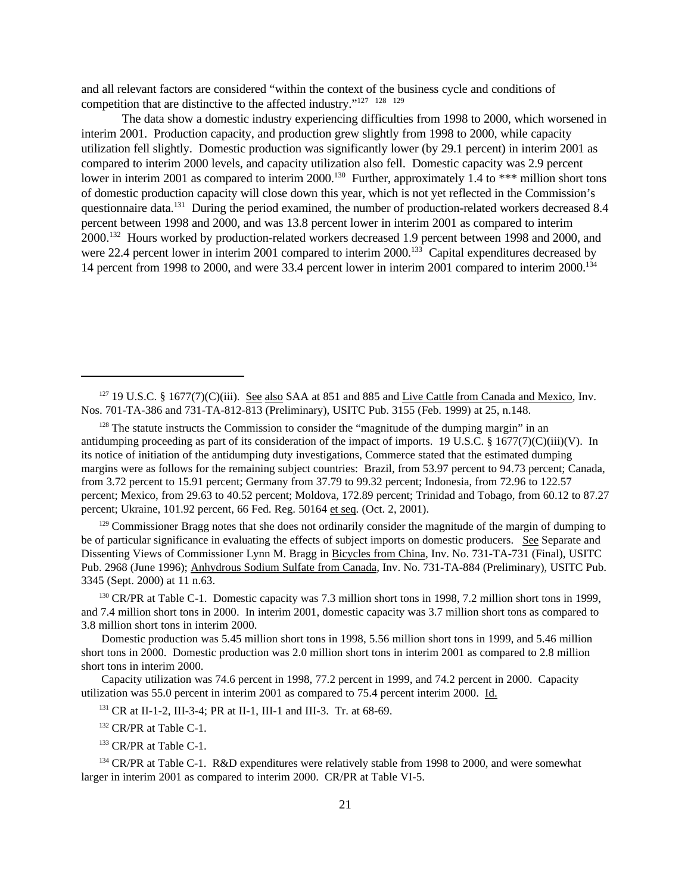and all relevant factors are considered "within the context of the business cycle and conditions of competition that are distinctive to the affected industry."<sup>127</sup><sup>128</sup><sup>129</sup>

The data show a domestic industry experiencing difficulties from 1998 to 2000, which worsened in interim 2001. Production capacity, and production grew slightly from 1998 to 2000, while capacity utilization fell slightly. Domestic production was significantly lower (by 29.1 percent) in interim 2001 as compared to interim 2000 levels, and capacity utilization also fell. Domestic capacity was 2.9 percent lower in interim 2001 as compared to interim 2000.<sup>130</sup> Further, approximately 1.4 to \*\*\* million short tons of domestic production capacity will close down this year, which is not yet reflected in the Commission's questionnaire data.<sup>131</sup> During the period examined, the number of production-related workers decreased 8.4 percent between 1998 and 2000, and was 13.8 percent lower in interim 2001 as compared to interim 2000.<sup>132</sup> Hours worked by production-related workers decreased 1.9 percent between 1998 and 2000, and were 22.4 percent lower in interim 2001 compared to interim 2000.<sup>133</sup> Capital expenditures decreased by 14 percent from 1998 to 2000, and were 33.4 percent lower in interim 2001 compared to interim 2000.134

 $129$  Commissioner Bragg notes that she does not ordinarily consider the magnitude of the margin of dumping to be of particular significance in evaluating the effects of subject imports on domestic producers. See Separate and Dissenting Views of Commissioner Lynn M. Bragg in Bicycles from China, Inv. No. 731-TA-731 (Final), USITC Pub. 2968 (June 1996); Anhydrous Sodium Sulfate from Canada, Inv. No. 731-TA-884 (Preliminary), USITC Pub. 3345 (Sept. 2000) at 11 n.63.

<sup>130</sup> CR/PR at Table C-1. Domestic capacity was 7.3 million short tons in 1998, 7.2 million short tons in 1999, and 7.4 million short tons in 2000. In interim 2001, domestic capacity was 3.7 million short tons as compared to 3.8 million short tons in interim 2000.

Domestic production was 5.45 million short tons in 1998, 5.56 million short tons in 1999, and 5.46 million short tons in 2000. Domestic production was 2.0 million short tons in interim 2001 as compared to 2.8 million short tons in interim 2000.

Capacity utilization was 74.6 percent in 1998, 77.2 percent in 1999, and 74.2 percent in 2000. Capacity utilization was 55.0 percent in interim 2001 as compared to 75.4 percent interim 2000. Id.

<sup>131</sup> CR at II-1-2, III-3-4; PR at II-1, III-1 and III-3. Tr. at 68-69.

<sup>132</sup> CR/PR at Table C-1.

<sup>133</sup> CR/PR at Table C-1.

<sup>134</sup> CR/PR at Table C-1. R&D expenditures were relatively stable from 1998 to 2000, and were somewhat larger in interim 2001 as compared to interim 2000. CR/PR at Table VI-5.

 $127$  19 U.S.C. § 1677(7)(C)(iii). See also SAA at 851 and 885 and Live Cattle from Canada and Mexico, Inv. Nos. 701-TA-386 and 731-TA-812-813 (Preliminary), USITC Pub. 3155 (Feb. 1999) at 25, n.148.

 $128$  The statute instructs the Commission to consider the "magnitude of the dumping margin" in an antidumping proceeding as part of its consideration of the impact of imports. 19 U.S.C. § 1677(7)(C)(iii)(V). In its notice of initiation of the antidumping duty investigations, Commerce stated that the estimated dumping margins were as follows for the remaining subject countries: Brazil, from 53.97 percent to 94.73 percent; Canada, from 3.72 percent to 15.91 percent; Germany from 37.79 to 99.32 percent; Indonesia, from 72.96 to 122.57 percent; Mexico, from 29.63 to 40.52 percent; Moldova, 172.89 percent; Trinidad and Tobago, from 60.12 to 87.27 percent; Ukraine, 101.92 percent, 66 Fed. Reg. 50164 et seq. (Oct. 2, 2001).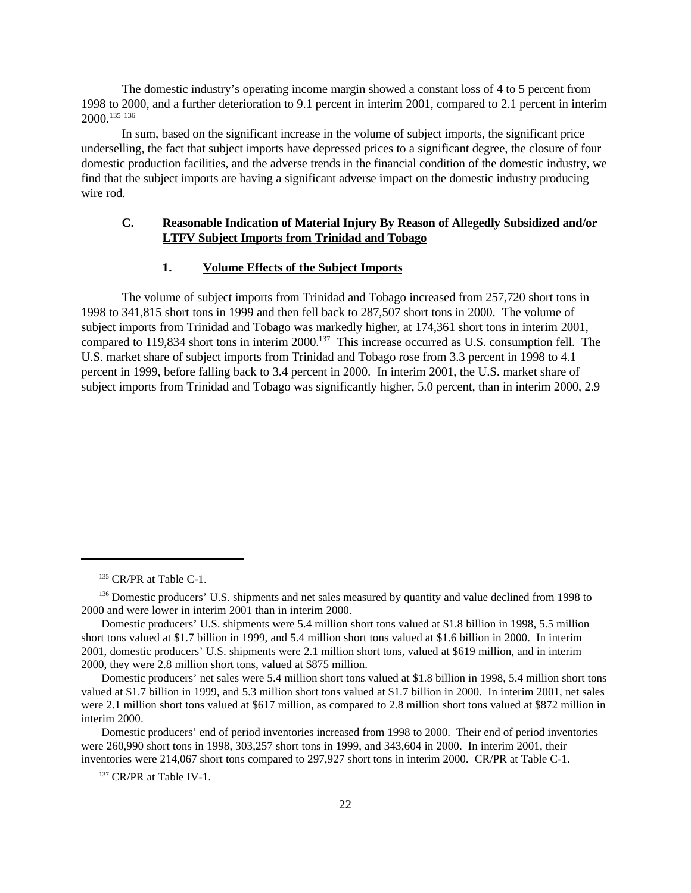The domestic industry's operating income margin showed a constant loss of 4 to 5 percent from 1998 to 2000, and a further deterioration to 9.1 percent in interim 2001, compared to 2.1 percent in interim 2000.<sup>135</sup> <sup>136</sup>

In sum, based on the significant increase in the volume of subject imports, the significant price underselling, the fact that subject imports have depressed prices to a significant degree, the closure of four domestic production facilities, and the adverse trends in the financial condition of the domestic industry, we find that the subject imports are having a significant adverse impact on the domestic industry producing wire rod.

## **C. Reasonable Indication of Material Injury By Reason of Allegedly Subsidized and/or LTFV Subject Imports from Trinidad and Tobago**

## **1. Volume Effects of the Subject Imports**

The volume of subject imports from Trinidad and Tobago increased from 257,720 short tons in 1998 to 341,815 short tons in 1999 and then fell back to 287,507 short tons in 2000. The volume of subject imports from Trinidad and Tobago was markedly higher, at 174,361 short tons in interim 2001, compared to 119,834 short tons in interim 2000.<sup>137</sup> This increase occurred as U.S. consumption fell. The U.S. market share of subject imports from Trinidad and Tobago rose from 3.3 percent in 1998 to 4.1 percent in 1999, before falling back to 3.4 percent in 2000. In interim 2001, the U.S. market share of subject imports from Trinidad and Tobago was significantly higher, 5.0 percent, than in interim 2000, 2.9

<sup>&</sup>lt;sup>135</sup> CR/PR at Table C-1.

<sup>&</sup>lt;sup>136</sup> Domestic producers' U.S. shipments and net sales measured by quantity and value declined from 1998 to 2000 and were lower in interim 2001 than in interim 2000.

Domestic producers' U.S. shipments were 5.4 million short tons valued at \$1.8 billion in 1998, 5.5 million short tons valued at \$1.7 billion in 1999, and 5.4 million short tons valued at \$1.6 billion in 2000. In interim 2001, domestic producers' U.S. shipments were 2.1 million short tons, valued at \$619 million, and in interim 2000, they were 2.8 million short tons, valued at \$875 million.

Domestic producers' net sales were 5.4 million short tons valued at \$1.8 billion in 1998, 5.4 million short tons valued at \$1.7 billion in 1999, and 5.3 million short tons valued at \$1.7 billion in 2000. In interim 2001, net sales were 2.1 million short tons valued at \$617 million, as compared to 2.8 million short tons valued at \$872 million in interim 2000.

Domestic producers' end of period inventories increased from 1998 to 2000. Their end of period inventories were 260,990 short tons in 1998, 303,257 short tons in 1999, and 343,604 in 2000. In interim 2001, their inventories were 214,067 short tons compared to 297,927 short tons in interim 2000. CR/PR at Table C-1.

<sup>&</sup>lt;sup>137</sup> CR/PR at Table IV-1.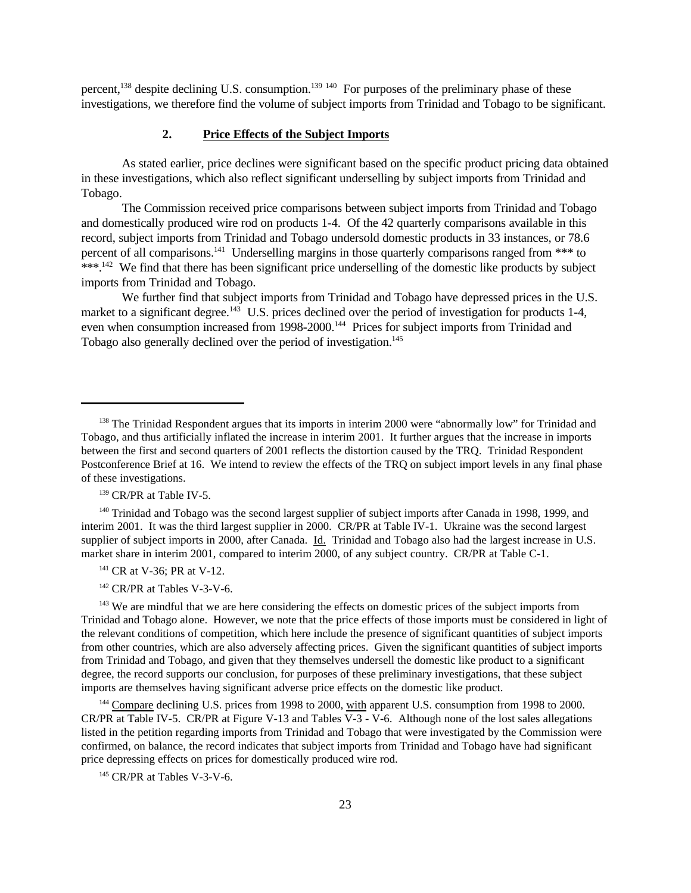percent,<sup>138</sup> despite declining U.S. consumption.<sup>139 140</sup> For purposes of the preliminary phase of these investigations, we therefore find the volume of subject imports from Trinidad and Tobago to be significant.

#### **2. Price Effects of the Subject Imports**

As stated earlier, price declines were significant based on the specific product pricing data obtained in these investigations, which also reflect significant underselling by subject imports from Trinidad and Tobago.

The Commission received price comparisons between subject imports from Trinidad and Tobago and domestically produced wire rod on products 1-4. Of the 42 quarterly comparisons available in this record, subject imports from Trinidad and Tobago undersold domestic products in 33 instances, or 78.6 percent of all comparisons.<sup>141</sup> Underselling margins in those quarterly comparisons ranged from \*\*\* to \*\*\*.<sup>142</sup> We find that there has been significant price underselling of the domestic like products by subject imports from Trinidad and Tobago.

We further find that subject imports from Trinidad and Tobago have depressed prices in the U.S. market to a significant degree.<sup>143</sup> U.S. prices declined over the period of investigation for products 1-4, even when consumption increased from 1998-2000.<sup>144</sup> Prices for subject imports from Trinidad and Tobago also generally declined over the period of investigation.<sup>145</sup>

<sup>140</sup> Trinidad and Tobago was the second largest supplier of subject imports after Canada in 1998, 1999, and interim 2001. It was the third largest supplier in 2000. CR/PR at Table IV-1. Ukraine was the second largest supplier of subject imports in 2000, after Canada. Id. Trinidad and Tobago also had the largest increase in U.S. market share in interim 2001, compared to interim 2000, of any subject country. CR/PR at Table C-1.

<sup>141</sup> CR at V-36; PR at V-12.

<sup>142</sup> CR/PR at Tables V-3-V-6.

<sup>143</sup> We are mindful that we are here considering the effects on domestic prices of the subject imports from Trinidad and Tobago alone. However, we note that the price effects of those imports must be considered in light of the relevant conditions of competition, which here include the presence of significant quantities of subject imports from other countries, which are also adversely affecting prices. Given the significant quantities of subject imports from Trinidad and Tobago, and given that they themselves undersell the domestic like product to a significant degree, the record supports our conclusion, for purposes of these preliminary investigations, that these subject imports are themselves having significant adverse price effects on the domestic like product.

<sup>144</sup> Compare declining U.S. prices from 1998 to 2000, with apparent U.S. consumption from 1998 to 2000. CR/PR at Table IV-5. CR/PR at Figure V-13 and Tables V-3 - V-6. Although none of the lost sales allegations listed in the petition regarding imports from Trinidad and Tobago that were investigated by the Commission were confirmed, on balance, the record indicates that subject imports from Trinidad and Tobago have had significant price depressing effects on prices for domestically produced wire rod.

<sup>145</sup> CR/PR at Tables V-3-V-6.

<sup>&</sup>lt;sup>138</sup> The Trinidad Respondent argues that its imports in interim 2000 were "abnormally low" for Trinidad and Tobago, and thus artificially inflated the increase in interim 2001. It further argues that the increase in imports between the first and second quarters of 2001 reflects the distortion caused by the TRQ. Trinidad Respondent Postconference Brief at 16. We intend to review the effects of the TRQ on subject import levels in any final phase of these investigations.

<sup>&</sup>lt;sup>139</sup> CR/PR at Table IV-5.